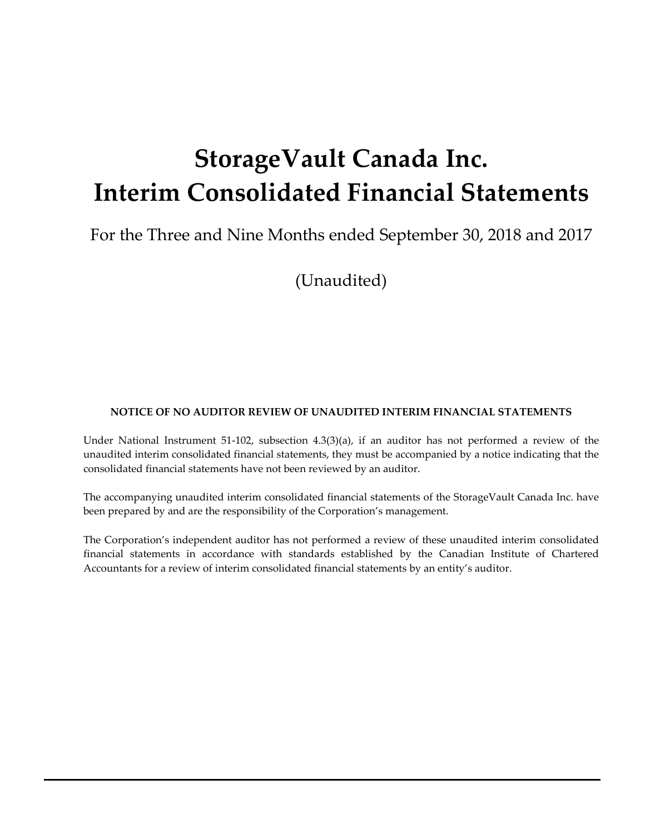# **StorageVault Canada Inc. Interim Consolidated Financial Statements**

For the Three and Nine Months ended September 30, 2018 and 2017

(Unaudited)

#### **NOTICE OF NO AUDITOR REVIEW OF UNAUDITED INTERIM FINANCIAL STATEMENTS**

Under National Instrument 51-102, subsection 4.3(3)(a), if an auditor has not performed a review of the unaudited interim consolidated financial statements, they must be accompanied by a notice indicating that the consolidated financial statements have not been reviewed by an auditor.

The accompanying unaudited interim consolidated financial statements of the StorageVault Canada Inc. have been prepared by and are the responsibility of the Corporation's management.

The Corporation's independent auditor has not performed a review of these unaudited interim consolidated financial statements in accordance with standards established by the Canadian Institute of Chartered Accountants for a review of interim consolidated financial statements by an entity's auditor.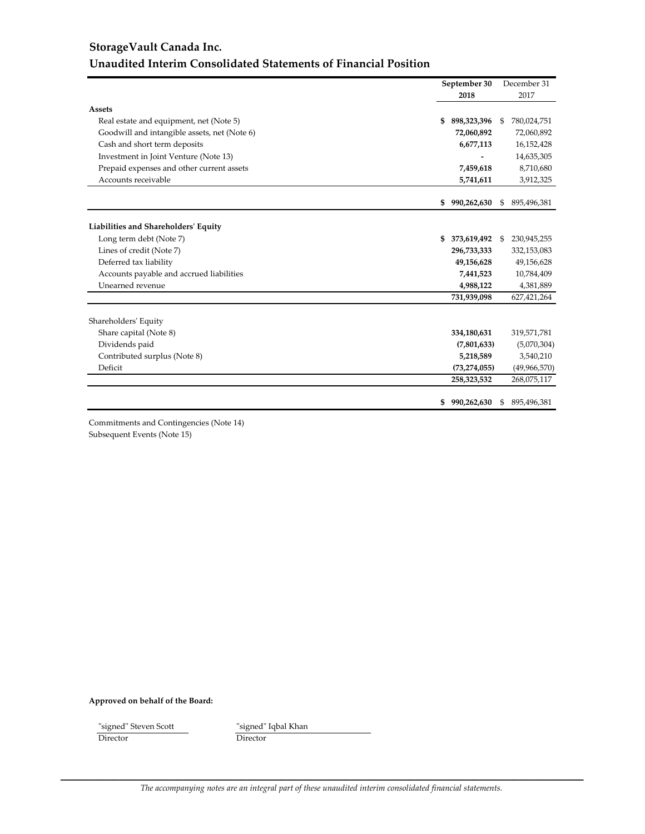#### **StorageVault Canada Inc. Unaudited Interim Consolidated Statements of Financial Position**

|                                              | September 30      | December 31       |  |
|----------------------------------------------|-------------------|-------------------|--|
|                                              | 2018              | 2017              |  |
| <b>Assets</b>                                |                   |                   |  |
| Real estate and equipment, net (Note 5)      | \$898,323,396     | 780,024,751<br>-S |  |
| Goodwill and intangible assets, net (Note 6) | 72,060,892        | 72,060,892        |  |
| Cash and short term deposits                 | 6,677,113         | 16,152,428        |  |
| Investment in Joint Venture (Note 13)        |                   | 14,635,305        |  |
| Prepaid expenses and other current assets    | 7,459,618         | 8,710,680         |  |
| Accounts receivable                          | 5,741,611         | 3,912,325         |  |
|                                              | 990,262,630<br>\$ | 895,496,381<br>S. |  |
| Liabilities and Shareholders' Equity         |                   |                   |  |
| Long term debt (Note 7)                      | 373,619,492<br>S  | 230,945,255<br>-S |  |
| Lines of credit (Note 7)                     | 296,733,333       | 332,153,083       |  |
| Deferred tax liability                       | 49,156,628        | 49,156,628        |  |
| Accounts payable and accrued liabilities     | 7,441,523         | 10,784,409        |  |
| Unearned revenue                             | 4,988,122         | 4,381,889         |  |
|                                              | 731,939,098       | 627,421,264       |  |
| Shareholders' Equity                         |                   |                   |  |
| Share capital (Note 8)                       | 334,180,631       | 319,571,781       |  |
| Dividends paid                               | (7,801,633)       | (5,070,304)       |  |
| Contributed surplus (Note 8)                 | 5,218,589         | 3,540,210         |  |
| Deficit                                      | (73, 274, 055)    | (49,966,570)      |  |
|                                              | 258,323,532       | 268,075,117       |  |
|                                              | 990,262,630<br>S  | 895,496,381<br>S  |  |

Commitments and Contingencies (Note 14) Subsequent Events (Note 15)

**Approved on behalf of the Board:**

Director Director

"signed" Steven Scott "signed" Iqbal Khan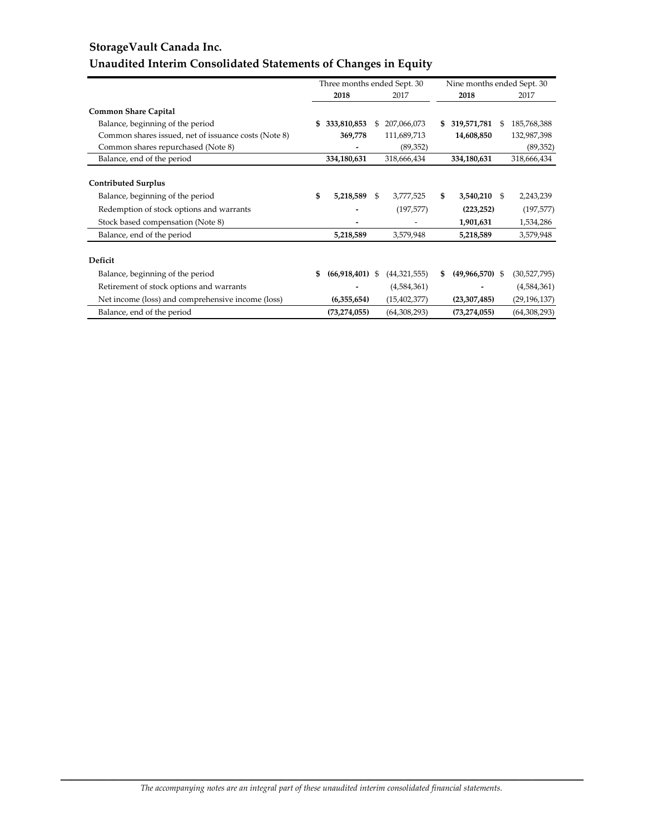### **StorageVault Canada Inc. Unaudited Interim Consolidated Statements of Changes in Equity**

|                                                      | Three months ended Sept. 30 |                   |    | Nine months ended Sept. 30 |    |                   |     |                |
|------------------------------------------------------|-----------------------------|-------------------|----|----------------------------|----|-------------------|-----|----------------|
|                                                      |                             | 2018              |    | 2017                       |    | 2018              |     | 2017           |
| <b>Common Share Capital</b>                          |                             |                   |    |                            |    |                   |     |                |
| Balance, beginning of the period                     |                             | 333,810,853       | \$ | 207,066,073                | S. | 319,571,781       | \$. | 185,768,388    |
| Common shares issued, net of issuance costs (Note 8) |                             | 369,778           |    | 111,689,713                |    | 14,608,850        |     | 132,987,398    |
| Common shares repurchased (Note 8)                   |                             |                   |    | (89, 352)                  |    |                   |     | (89, 352)      |
| Balance, end of the period                           |                             | 334,180,631       |    | 318,666,434                |    | 334,180,631       |     | 318,666,434    |
|                                                      |                             |                   |    |                            |    |                   |     |                |
| <b>Contributed Surplus</b>                           |                             |                   |    |                            |    |                   |     |                |
| Balance, beginning of the period                     | \$                          | 5,218,589         | S  | 3,777,525                  | \$ | 3,540,210         | S   | 2,243,239      |
| Redemption of stock options and warrants             |                             |                   |    | (197, 577)                 |    | (223, 252)        |     | (197, 577)     |
| Stock based compensation (Note 8)                    |                             |                   |    |                            |    | 1,901,631         |     | 1,534,286      |
| Balance, end of the period                           |                             | 5,218,589         |    | 3,579,948                  |    | 5,218,589         |     | 3,579,948      |
|                                                      |                             |                   |    |                            |    |                   |     |                |
| Deficit                                              |                             |                   |    |                            |    |                   |     |                |
| Balance, beginning of the period                     | S                           | $(66,918,401)$ \$ |    | (44,321,555)               |    | $(49,966,570)$ \$ |     | (30,527,795)   |
| Retirement of stock options and warrants             |                             |                   |    | (4,584,361)                |    |                   |     | (4,584,361)    |
| Net income (loss) and comprehensive income (loss)    |                             | (6,355,654)       |    | (15, 402, 377)             |    | (23,307,485)      |     | (29, 196, 137) |
| Balance, end of the period                           |                             | (73, 274, 055)    |    | (64,308,293)               |    | (73, 274, 055)    |     | (64,308,293)   |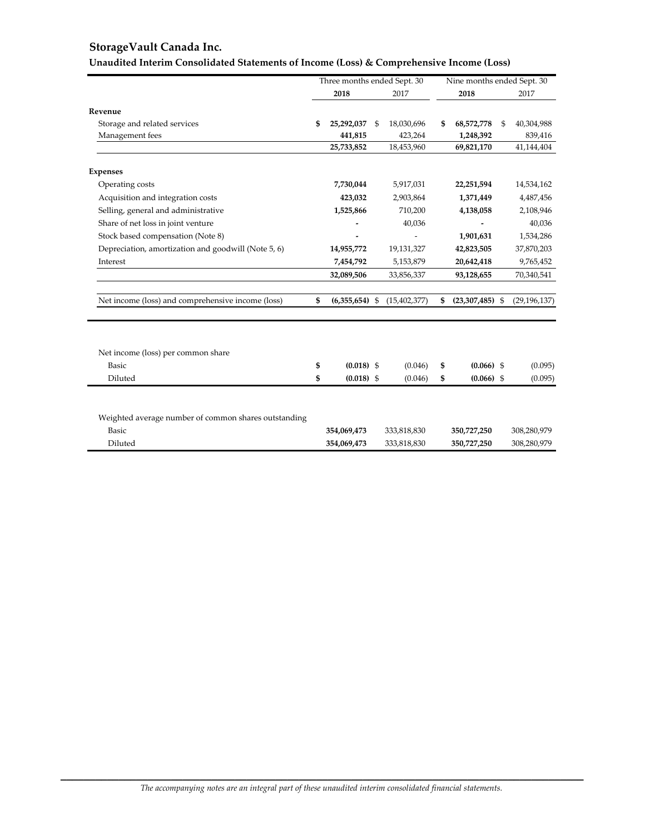#### **StorageVault Canada Inc.**

#### **Unaudited Interim Consolidated Statements of Income (Loss) & Comprehensive Income (Loss)**

|                                                      | Three months ended Sept. 30 |                  | Nine months ended Sept. 30 |    |                |
|------------------------------------------------------|-----------------------------|------------------|----------------------------|----|----------------|
|                                                      | 2018                        | 2017             | 2018                       |    | 2017           |
| Revenue                                              |                             |                  |                            |    |                |
| Storage and related services                         | \$<br>25,292,037            | \$<br>18,030,696 | \$<br>68,572,778           | \$ | 40,304,988     |
| Management fees                                      | 441,815                     | 423,264          | 1,248,392                  |    | 839,416        |
|                                                      | 25,733,852                  | 18,453,960       | 69,821,170                 |    | 41,144,404     |
| <b>Expenses</b>                                      |                             |                  |                            |    |                |
| Operating costs                                      | 7,730,044                   | 5,917,031        | 22,251,594                 |    | 14,534,162     |
| Acquisition and integration costs                    | 423,032                     | 2,903,864        | 1,371,449                  |    | 4,487,456      |
| Selling, general and administrative                  | 1,525,866                   | 710,200          | 4,138,058                  |    | 2,108,946      |
| Share of net loss in joint venture                   |                             | 40,036           |                            |    | 40,036         |
| Stock based compensation (Note 8)                    |                             |                  | 1,901,631                  |    | 1,534,286      |
| Depreciation, amortization and goodwill (Note 5, 6)  | 14,955,772                  | 19,131,327       | 42,823,505                 |    | 37,870,203     |
| Interest                                             | 7,454,792                   | 5,153,879        | 20,642,418                 |    | 9,765,452      |
|                                                      | 32,089,506                  | 33,856,337       | 93,128,655                 |    | 70,340,541     |
| Net income (loss) and comprehensive income (loss)    | \$<br>$(6,355,654)$ \$      | (15, 402, 377)   | \$<br>$(23,307,485)$ \$    |    | (29, 196, 137) |
|                                                      |                             |                  |                            |    |                |
| Net income (loss) per common share                   |                             |                  |                            |    |                |
| Basic                                                | \$<br>$(0.018)$ \$          | (0.046)          | \$<br>$(0.066)$ \$         |    | (0.095)        |
| Diluted                                              | \$<br>$(0.018)$ \$          | (0.046)          | \$<br>$(0.066)$ \$         |    | (0.095)        |
|                                                      |                             |                  |                            |    |                |
| Weighted average number of common shares outstanding |                             |                  |                            |    |                |
| Basic                                                | 354,069,473                 | 333,818,830      | 350,727,250                |    | 308,280,979    |
| Diluted                                              | 354,069,473                 | 333,818,830      | 350,727,250                |    | 308,280,979    |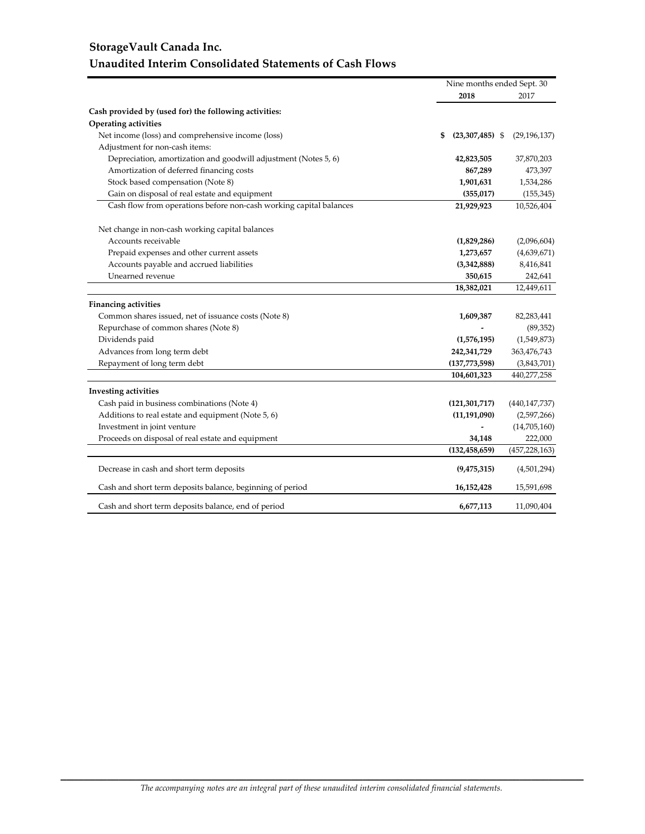### **StorageVault Canada Inc.**

#### **Unaudited Interim Consolidated Statements of Cash Flows**

|                                                                    | Nine months ended Sept. 30 |                 |  |
|--------------------------------------------------------------------|----------------------------|-----------------|--|
|                                                                    | 2018                       | 2017            |  |
| Cash provided by (used for) the following activities:              |                            |                 |  |
| <b>Operating activities</b>                                        |                            |                 |  |
| Net income (loss) and comprehensive income (loss)                  | $(23,307,485)$ \$<br>S     | (29, 196, 137)  |  |
| Adjustment for non-cash items:                                     |                            |                 |  |
| Depreciation, amortization and goodwill adjustment (Notes 5, 6)    | 42,823,505                 | 37,870,203      |  |
| Amortization of deferred financing costs                           | 867,289                    | 473,397         |  |
| Stock based compensation (Note 8)                                  | 1,901,631                  | 1,534,286       |  |
| Gain on disposal of real estate and equipment                      | (355, 017)                 | (155, 345)      |  |
| Cash flow from operations before non-cash working capital balances | 21,929,923                 | 10,526,404      |  |
| Net change in non-cash working capital balances                    |                            |                 |  |
| Accounts receivable                                                | (1,829,286)                | (2,096,604)     |  |
| Prepaid expenses and other current assets                          | 1,273,657                  | (4,639,671)     |  |
| Accounts payable and accrued liabilities                           | (3,342,888)                | 8,416,841       |  |
| Unearned revenue                                                   | 350,615                    | 242,641         |  |
|                                                                    | 18,382,021                 | 12,449,611      |  |
| <b>Financing activities</b>                                        |                            |                 |  |
| Common shares issued, net of issuance costs (Note 8)               | 1,609,387                  | 82,283,441      |  |
| Repurchase of common shares (Note 8)                               |                            | (89, 352)       |  |
| Dividends paid                                                     | (1,576,195)                | (1,549,873)     |  |
| Advances from long term debt                                       | 242,341,729                | 363,476,743     |  |
| Repayment of long term debt                                        | (137, 773, 598)            | (3,843,701)     |  |
|                                                                    | 104,601,323                | 440,277,258     |  |
| Investing activities                                               |                            |                 |  |
| Cash paid in business combinations (Note 4)                        | (121, 301, 717)            | (440, 147, 737) |  |
| Additions to real estate and equipment (Note 5, 6)                 | (11, 191, 090)             | (2,597,266)     |  |
| Investment in joint venture                                        |                            | (14,705,160)    |  |
| Proceeds on disposal of real estate and equipment                  | 34,148                     | 222,000         |  |
|                                                                    | (132, 458, 659)            | (457, 228, 163) |  |
| Decrease in cash and short term deposits                           | (9, 475, 315)              | (4,501,294)     |  |
| Cash and short term deposits balance, beginning of period          | 16,152,428                 | 15,591,698      |  |
| Cash and short term deposits balance, end of period                | 6,677,113                  | 11,090,404      |  |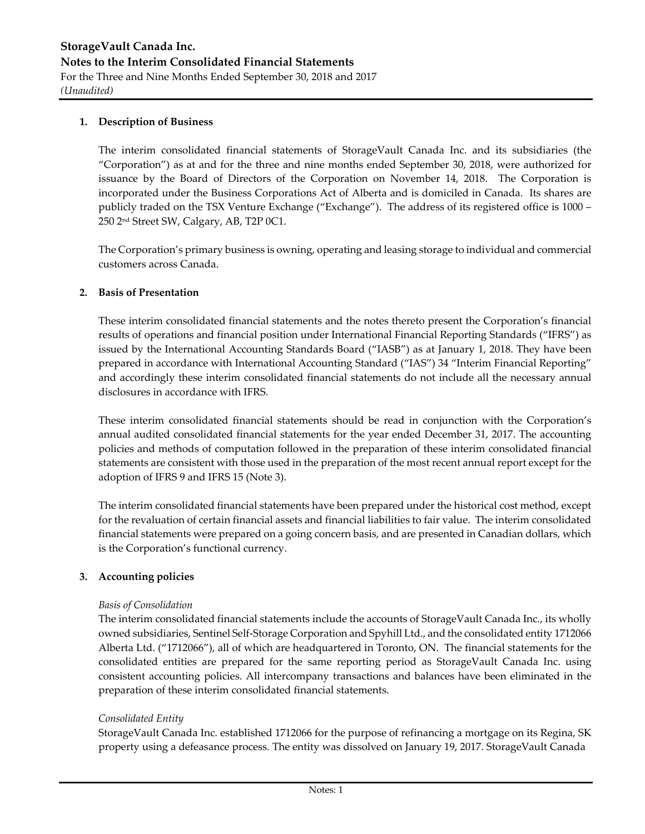#### **1. Description of Business**

The interim consolidated financial statements of StorageVault Canada Inc. and its subsidiaries (the "Corporation") as at and for the three and nine months ended September 30, 2018, were authorized for issuance by the Board of Directors of the Corporation on November 14, 2018. The Corporation is incorporated under the Business Corporations Act of Alberta and is domiciled in Canada. Its shares are publicly traded on the TSX Venture Exchange ("Exchange"). The address of its registered office is 1000 – 250 2nd Street SW, Calgary, AB, T2P 0C1.

The Corporation's primary business is owning, operating and leasing storage to individual and commercial customers across Canada.

#### **2. Basis of Presentation**

These interim consolidated financial statements and the notes thereto present the Corporation's financial results of operations and financial position under International Financial Reporting Standards ("IFRS") as issued by the International Accounting Standards Board ("IASB") as at January 1, 2018. They have been prepared in accordance with International Accounting Standard ("IAS") 34 "Interim Financial Reporting" and accordingly these interim consolidated financial statements do not include all the necessary annual disclosures in accordance with IFRS.

These interim consolidated financial statements should be read in conjunction with the Corporation's annual audited consolidated financial statements for the year ended December 31, 2017. The accounting policies and methods of computation followed in the preparation of these interim consolidated financial statements are consistent with those used in the preparation of the most recent annual report except for the adoption of IFRS 9 and IFRS 15 (Note 3).

The interim consolidated financial statements have been prepared under the historical cost method, except for the revaluation of certain financial assets and financial liabilities to fair value. The interim consolidated financial statements were prepared on a going concern basis, and are presented in Canadian dollars, which is the Corporation's functional currency.

#### **3. Accounting policies**

#### *Basis of Consolidation*

The interim consolidated financial statements include the accounts of StorageVault Canada Inc., its wholly owned subsidiaries, Sentinel Self‐Storage Corporation and Spyhill Ltd., and the consolidated entity 1712066 Alberta Ltd. ("1712066"), all of which are headquartered in Toronto, ON. The financial statements for the consolidated entities are prepared for the same reporting period as StorageVault Canada Inc. using consistent accounting policies. All intercompany transactions and balances have been eliminated in the preparation of these interim consolidated financial statements.

#### *Consolidated Entity*

StorageVault Canada Inc. established 1712066 for the purpose of refinancing a mortgage on its Regina, SK property using a defeasance process. The entity was dissolved on January 19, 2017. StorageVault Canada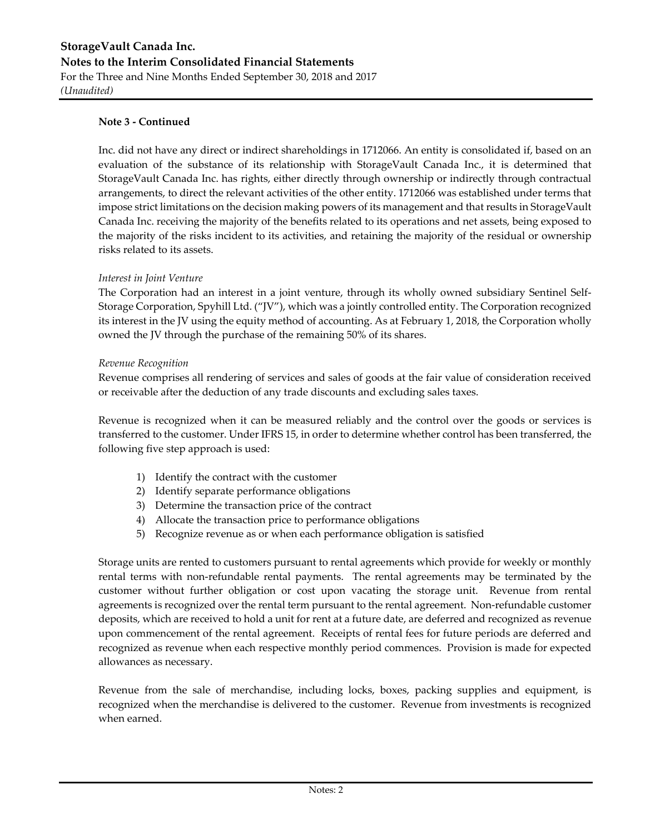Inc. did not have any direct or indirect shareholdings in 1712066. An entity is consolidated if, based on an evaluation of the substance of its relationship with StorageVault Canada Inc., it is determined that StorageVault Canada Inc. has rights, either directly through ownership or indirectly through contractual arrangements, to direct the relevant activities of the other entity. 1712066 was established under terms that impose strict limitations on the decision making powers of its management and that results in StorageVault Canada Inc. receiving the majority of the benefits related to its operations and net assets, being exposed to the majority of the risks incident to its activities, and retaining the majority of the residual or ownership risks related to its assets.

#### *Interest in Joint Venture*

The Corporation had an interest in a joint venture, through its wholly owned subsidiary Sentinel Self‐ Storage Corporation, Spyhill Ltd. ("JV"), which was a jointly controlled entity. The Corporation recognized its interest in the JV using the equity method of accounting. As at February 1, 2018, the Corporation wholly owned the JV through the purchase of the remaining 50% of its shares.

#### *Revenue Recognition*

Revenue comprises all rendering of services and sales of goods at the fair value of consideration received or receivable after the deduction of any trade discounts and excluding sales taxes.

Revenue is recognized when it can be measured reliably and the control over the goods or services is transferred to the customer. Under IFRS 15, in order to determine whether control has been transferred, the following five step approach is used:

- 1) Identify the contract with the customer
- 2) Identify separate performance obligations
- 3) Determine the transaction price of the contract
- 4) Allocate the transaction price to performance obligations
- 5) Recognize revenue as or when each performance obligation is satisfied

Storage units are rented to customers pursuant to rental agreements which provide for weekly or monthly rental terms with non-refundable rental payments. The rental agreements may be terminated by the customer without further obligation or cost upon vacating the storage unit. Revenue from rental agreements is recognized over the rental term pursuant to the rental agreement. Non‐refundable customer deposits, which are received to hold a unit for rent at a future date, are deferred and recognized as revenue upon commencement of the rental agreement. Receipts of rental fees for future periods are deferred and recognized as revenue when each respective monthly period commences. Provision is made for expected allowances as necessary.

Revenue from the sale of merchandise, including locks, boxes, packing supplies and equipment, is recognized when the merchandise is delivered to the customer. Revenue from investments is recognized when earned.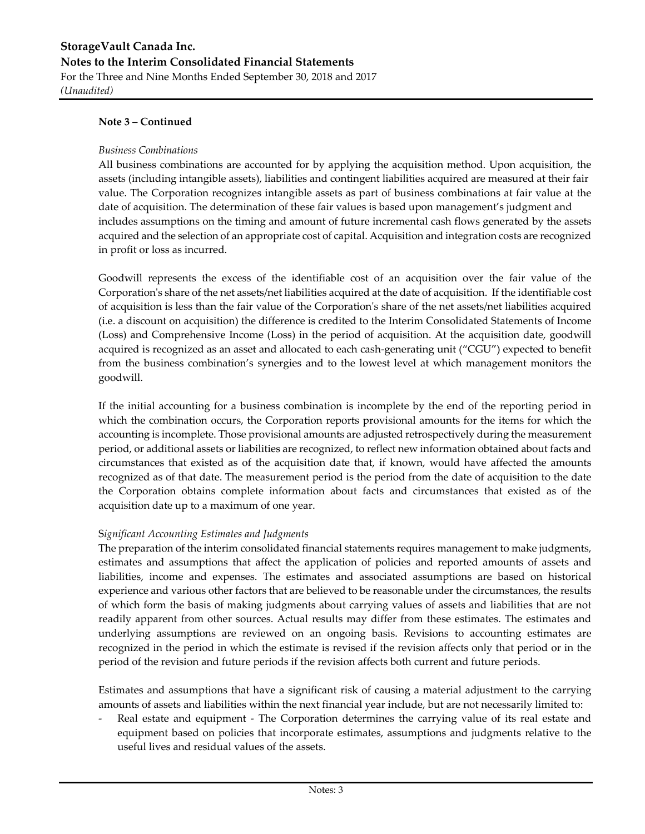### **StorageVault Canada Inc. Notes to the Interim Consolidated Financial Statements** For the Three and Nine Months Ended September 30, 2018 and 2017

*(Unaudited)*

#### **Note 3 – Continued**

#### *Business Combinations*

All business combinations are accounted for by applying the acquisition method. Upon acquisition, the assets (including intangible assets), liabilities and contingent liabilities acquired are measured at their fair value. The Corporation recognizes intangible assets as part of business combinations at fair value at the date of acquisition. The determination of these fair values is based upon management's judgment and includes assumptions on the timing and amount of future incremental cash flows generated by the assets acquired and the selection of an appropriate cost of capital. Acquisition and integration costs are recognized in profit or loss as incurred.

Goodwill represents the excess of the identifiable cost of an acquisition over the fair value of the Corporation's share of the net assets/net liabilities acquired at the date of acquisition. If the identifiable cost of acquisition is less than the fair value of the Corporationʹs share of the net assets/net liabilities acquired (i.e. a discount on acquisition) the difference is credited to the Interim Consolidated Statements of Income (Loss) and Comprehensive Income (Loss) in the period of acquisition. At the acquisition date, goodwill acquired is recognized as an asset and allocated to each cash‐generating unit ("CGU") expected to benefit from the business combination's synergies and to the lowest level at which management monitors the goodwill.

If the initial accounting for a business combination is incomplete by the end of the reporting period in which the combination occurs, the Corporation reports provisional amounts for the items for which the accounting is incomplete. Those provisional amounts are adjusted retrospectively during the measurement period, or additional assets or liabilities are recognized, to reflect new information obtained about facts and circumstances that existed as of the acquisition date that, if known, would have affected the amounts recognized as of that date. The measurement period is the period from the date of acquisition to the date the Corporation obtains complete information about facts and circumstances that existed as of the acquisition date up to a maximum of one year.

#### S*ignificant Accounting Estimates and Judgments*

The preparation of the interim consolidated financial statements requires management to make judgments, estimates and assumptions that affect the application of policies and reported amounts of assets and liabilities, income and expenses. The estimates and associated assumptions are based on historical experience and various other factors that are believed to be reasonable under the circumstances, the results of which form the basis of making judgments about carrying values of assets and liabilities that are not readily apparent from other sources. Actual results may differ from these estimates. The estimates and underlying assumptions are reviewed on an ongoing basis. Revisions to accounting estimates are recognized in the period in which the estimate is revised if the revision affects only that period or in the period of the revision and future periods if the revision affects both current and future periods.

Estimates and assumptions that have a significant risk of causing a material adjustment to the carrying amounts of assets and liabilities within the next financial year include, but are not necessarily limited to:

Real estate and equipment - The Corporation determines the carrying value of its real estate and equipment based on policies that incorporate estimates, assumptions and judgments relative to the useful lives and residual values of the assets.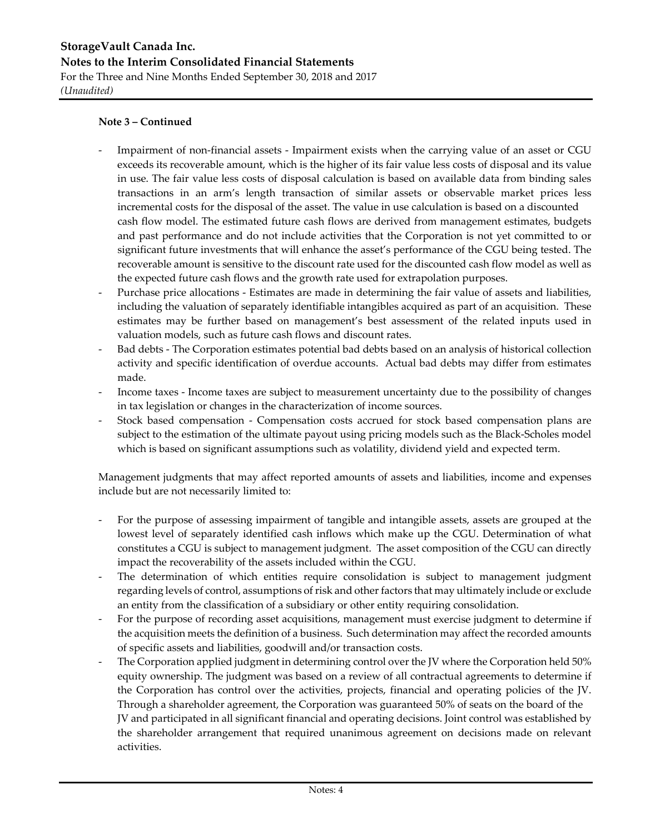- Impairment of non-financial assets Impairment exists when the carrying value of an asset or CGU exceeds its recoverable amount, which is the higher of its fair value less costs of disposal and its value in use. The fair value less costs of disposal calculation is based on available data from binding sales transactions in an arm's length transaction of similar assets or observable market prices less incremental costs for the disposal of the asset. The value in use calculation is based on a discounted cash flow model. The estimated future cash flows are derived from management estimates, budgets and past performance and do not include activities that the Corporation is not yet committed to or significant future investments that will enhance the asset's performance of the CGU being tested. The recoverable amount is sensitive to the discount rate used for the discounted cash flow model as well as the expected future cash flows and the growth rate used for extrapolation purposes.
- ‐ Purchase price allocations ‐ Estimates are made in determining the fair value of assets and liabilities, including the valuation of separately identifiable intangibles acquired as part of an acquisition. These estimates may be further based on management's best assessment of the related inputs used in valuation models, such as future cash flows and discount rates.
- ‐ Bad debts ‐ The Corporation estimates potential bad debts based on an analysis of historical collection activity and specific identification of overdue accounts. Actual bad debts may differ from estimates made.
- ‐ Income taxes ‐ Income taxes are subject to measurement uncertainty due to the possibility of changes in tax legislation or changes in the characterization of income sources.
- Stock based compensation Compensation costs accrued for stock based compensation plans are subject to the estimation of the ultimate payout using pricing models such as the Black‐Scholes model which is based on significant assumptions such as volatility, dividend yield and expected term.

Management judgments that may affect reported amounts of assets and liabilities, income and expenses include but are not necessarily limited to:

- For the purpose of assessing impairment of tangible and intangible assets, assets are grouped at the lowest level of separately identified cash inflows which make up the CGU. Determination of what constitutes a CGU is subject to management judgment. The asset composition of the CGU can directly impact the recoverability of the assets included within the CGU.
- The determination of which entities require consolidation is subject to management judgment regarding levels of control, assumptions of risk and other factors that may ultimately include or exclude an entity from the classification of a subsidiary or other entity requiring consolidation.
- For the purpose of recording asset acquisitions, management must exercise judgment to determine if the acquisition meets the definition of a business. Such determination may affect the recorded amounts of specific assets and liabilities, goodwill and/or transaction costs.
- ‐ The Corporation applied judgment in determining control over the JV where the Corporation held 50% equity ownership. The judgment was based on a review of all contractual agreements to determine if the Corporation has control over the activities, projects, financial and operating policies of the JV. Through a shareholder agreement, the Corporation was guaranteed 50% of seats on the board of the JV and participated in all significant financial and operating decisions. Joint control was established by the shareholder arrangement that required unanimous agreement on decisions made on relevant activities.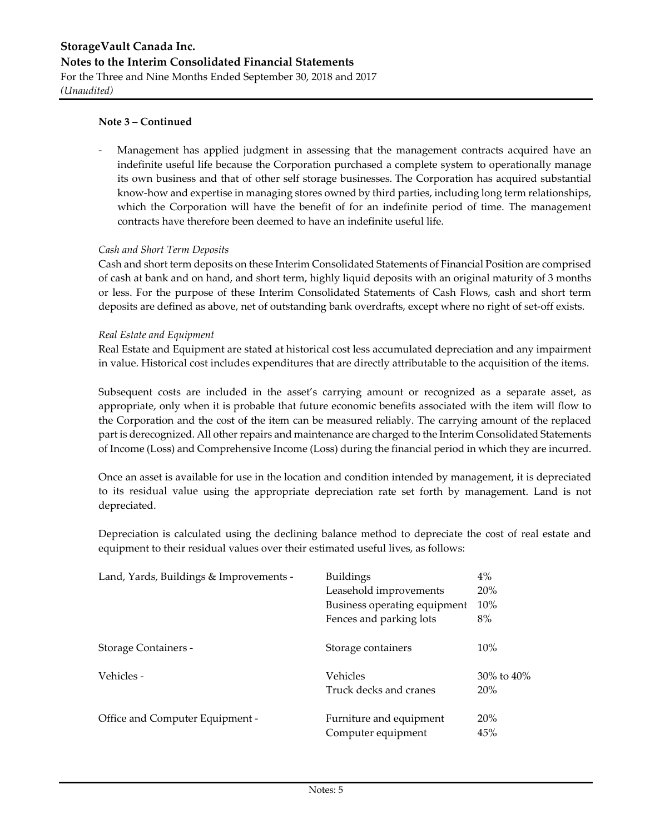Management has applied judgment in assessing that the management contracts acquired have an indefinite useful life because the Corporation purchased a complete system to operationally manage its own business and that of other self storage businesses. The Corporation has acquired substantial know-how and expertise in managing stores owned by third parties, including long term relationships, which the Corporation will have the benefit of for an indefinite period of time. The management contracts have therefore been deemed to have an indefinite useful life.

#### *Cash and Short Term Deposits*

Cash and short term deposits on these Interim Consolidated Statements of Financial Position are comprised of cash at bank and on hand, and short term, highly liquid deposits with an original maturity of 3 months or less. For the purpose of these Interim Consolidated Statements of Cash Flows, cash and short term deposits are defined as above, net of outstanding bank overdrafts, except where no right of set‐off exists.

#### *Real Estate and Equipment*

Real Estate and Equipment are stated at historical cost less accumulated depreciation and any impairment in value. Historical cost includes expenditures that are directly attributable to the acquisition of the items.

Subsequent costs are included in the asset's carrying amount or recognized as a separate asset, as appropriate, only when it is probable that future economic benefits associated with the item will flow to the Corporation and the cost of the item can be measured reliably. The carrying amount of the replaced part is derecognized. All other repairs and maintenance are charged to the Interim Consolidated Statements of Income (Loss) and Comprehensive Income (Loss) during the financial period in which they are incurred.

Once an asset is available for use in the location and condition intended by management, it is depreciated to its residual value using the appropriate depreciation rate set forth by management. Land is not depreciated.

Depreciation is calculated using the declining balance method to depreciate the cost of real estate and equipment to their residual values over their estimated useful lives, as follows:

| Land, Yards, Buildings & Improvements - | <b>Buildings</b>             | 4%               |
|-----------------------------------------|------------------------------|------------------|
|                                         | Leasehold improvements       | 20%              |
|                                         | Business operating equipment | 10%              |
|                                         | Fences and parking lots      | 8%               |
| <b>Storage Containers -</b>             | Storage containers           | 10%              |
| Vehicles -                              | Vehicles                     | $30\%$ to $40\%$ |
|                                         | Truck decks and cranes       | 20%              |
| Office and Computer Equipment -         | Furniture and equipment      | 20%              |
|                                         | Computer equipment           | 45%              |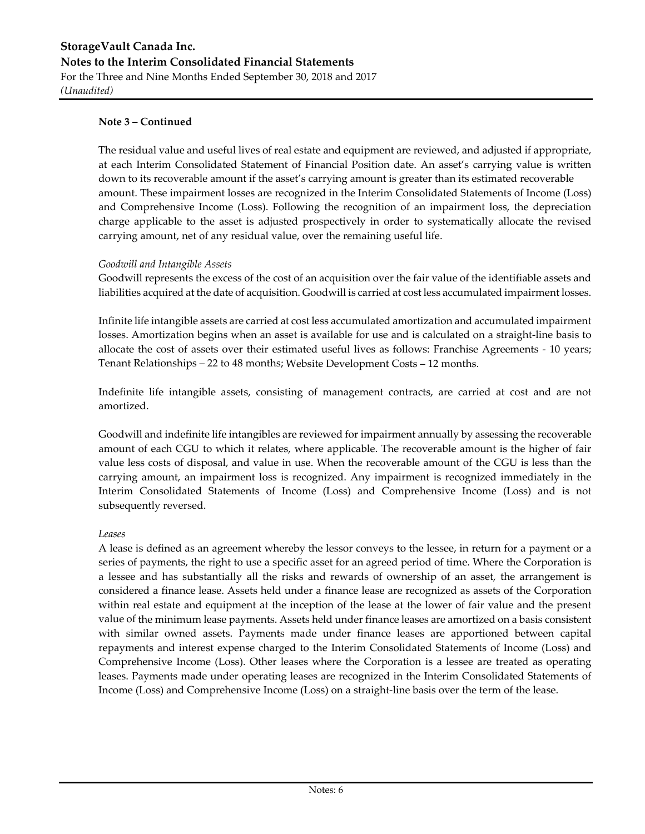The residual value and useful lives of real estate and equipment are reviewed, and adjusted if appropriate, at each Interim Consolidated Statement of Financial Position date. An asset's carrying value is written down to its recoverable amount if the asset's carrying amount is greater than its estimated recoverable amount. These impairment losses are recognized in the Interim Consolidated Statements of Income (Loss) and Comprehensive Income (Loss). Following the recognition of an impairment loss, the depreciation charge applicable to the asset is adjusted prospectively in order to systematically allocate the revised carrying amount, net of any residual value, over the remaining useful life.

#### *Goodwill and Intangible Assets*

Goodwill represents the excess of the cost of an acquisition over the fair value of the identifiable assets and liabilities acquired at the date of acquisition. Goodwill is carried at cost less accumulated impairment losses.

Infinite life intangible assets are carried at cost less accumulated amortization and accumulated impairment losses. Amortization begins when an asset is available for use and is calculated on a straight‐line basis to allocate the cost of assets over their estimated useful lives as follows: Franchise Agreements ‐ 10 years; Tenant Relationships – 22 to 48 months; Website Development Costs – 12 months.

Indefinite life intangible assets, consisting of management contracts, are carried at cost and are not amortized.

Goodwill and indefinite life intangibles are reviewed for impairment annually by assessing the recoverable amount of each CGU to which it relates, where applicable. The recoverable amount is the higher of fair value less costs of disposal, and value in use. When the recoverable amount of the CGU is less than the carrying amount, an impairment loss is recognized. Any impairment is recognized immediately in the Interim Consolidated Statements of Income (Loss) and Comprehensive Income (Loss) and is not subsequently reversed.

#### *Leases*

A lease is defined as an agreement whereby the lessor conveys to the lessee, in return for a payment or a series of payments, the right to use a specific asset for an agreed period of time. Where the Corporation is a lessee and has substantially all the risks and rewards of ownership of an asset, the arrangement is considered a finance lease. Assets held under a finance lease are recognized as assets of the Corporation within real estate and equipment at the inception of the lease at the lower of fair value and the present value of the minimum lease payments. Assets held under finance leases are amortized on a basis consistent with similar owned assets. Payments made under finance leases are apportioned between capital repayments and interest expense charged to the Interim Consolidated Statements of Income (Loss) and Comprehensive Income (Loss). Other leases where the Corporation is a lessee are treated as operating leases. Payments made under operating leases are recognized in the Interim Consolidated Statements of Income (Loss) and Comprehensive Income (Loss) on a straight‐line basis over the term of the lease.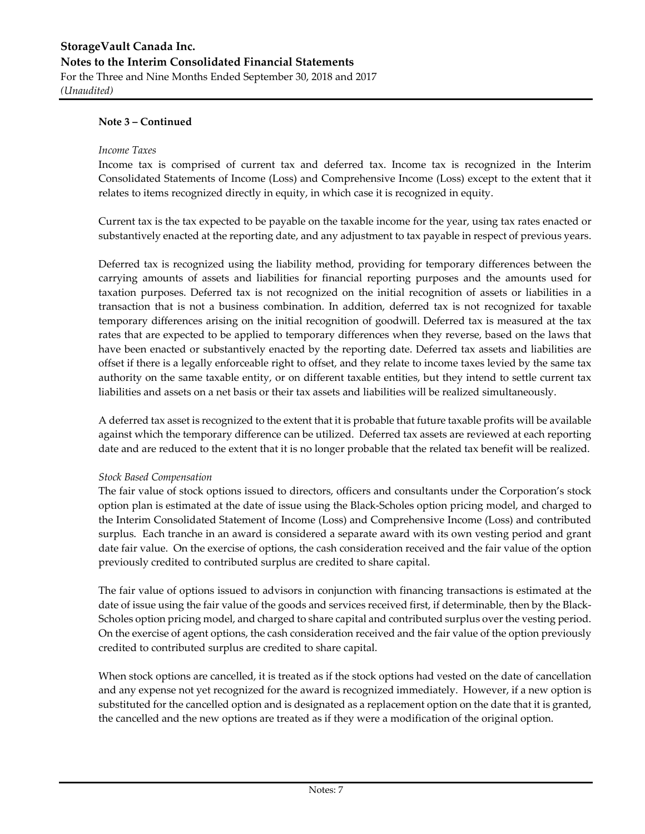#### **StorageVault Canada Inc. Notes to the Interim Consolidated Financial Statements** For the Three and Nine Months Ended September 30, 2018 and 2017 *(Unaudited)*

#### **Note 3 – Continued**

#### *Income Taxes*

Income tax is comprised of current tax and deferred tax. Income tax is recognized in the Interim Consolidated Statements of Income (Loss) and Comprehensive Income (Loss) except to the extent that it relates to items recognized directly in equity, in which case it is recognized in equity.

Current tax is the tax expected to be payable on the taxable income for the year, using tax rates enacted or substantively enacted at the reporting date, and any adjustment to tax payable in respect of previous years.

Deferred tax is recognized using the liability method, providing for temporary differences between the carrying amounts of assets and liabilities for financial reporting purposes and the amounts used for taxation purposes. Deferred tax is not recognized on the initial recognition of assets or liabilities in a transaction that is not a business combination. In addition, deferred tax is not recognized for taxable temporary differences arising on the initial recognition of goodwill. Deferred tax is measured at the tax rates that are expected to be applied to temporary differences when they reverse, based on the laws that have been enacted or substantively enacted by the reporting date. Deferred tax assets and liabilities are offset if there is a legally enforceable right to offset, and they relate to income taxes levied by the same tax authority on the same taxable entity, or on different taxable entities, but they intend to settle current tax liabilities and assets on a net basis or their tax assets and liabilities will be realized simultaneously.

A deferred tax asset is recognized to the extent that it is probable that future taxable profits will be available against which the temporary difference can be utilized. Deferred tax assets are reviewed at each reporting date and are reduced to the extent that it is no longer probable that the related tax benefit will be realized.

#### *Stock Based Compensation*

The fair value of stock options issued to directors, officers and consultants under the Corporation's stock option plan is estimated at the date of issue using the Black‐Scholes option pricing model, and charged to the Interim Consolidated Statement of Income (Loss) and Comprehensive Income (Loss) and contributed surplus. Each tranche in an award is considered a separate award with its own vesting period and grant date fair value. On the exercise of options, the cash consideration received and the fair value of the option previously credited to contributed surplus are credited to share capital.

The fair value of options issued to advisors in conjunction with financing transactions is estimated at the date of issue using the fair value of the goods and services received first, if determinable, then by the Black-Scholes option pricing model, and charged to share capital and contributed surplus over the vesting period. On the exercise of agent options, the cash consideration received and the fair value of the option previously credited to contributed surplus are credited to share capital.

When stock options are cancelled, it is treated as if the stock options had vested on the date of cancellation and any expense not yet recognized for the award is recognized immediately. However, if a new option is substituted for the cancelled option and is designated as a replacement option on the date that it is granted, the cancelled and the new options are treated as if they were a modification of the original option.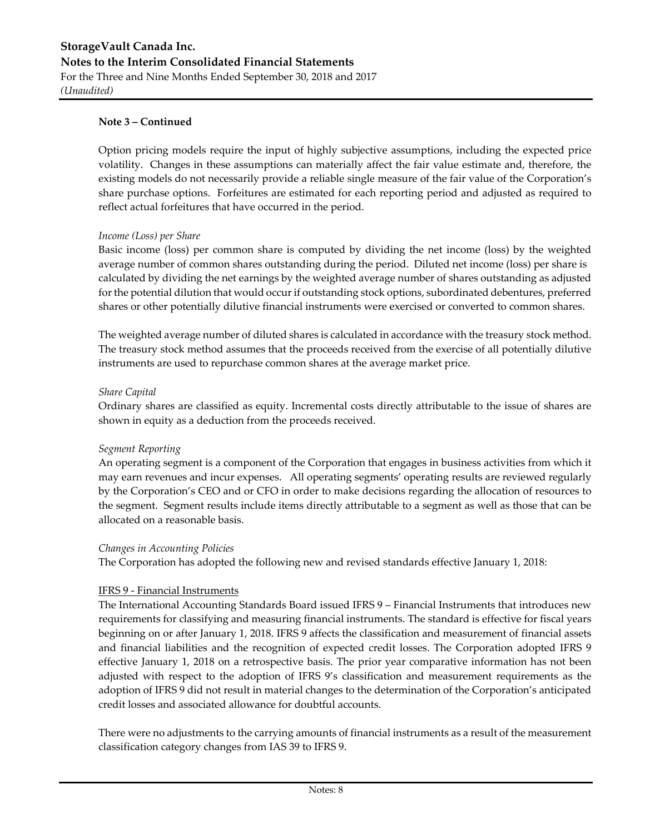Option pricing models require the input of highly subjective assumptions, including the expected price volatility. Changes in these assumptions can materially affect the fair value estimate and, therefore, the existing models do not necessarily provide a reliable single measure of the fair value of the Corporation's share purchase options. Forfeitures are estimated for each reporting period and adjusted as required to reflect actual forfeitures that have occurred in the period.

#### *Income (Loss) per Share*

Basic income (loss) per common share is computed by dividing the net income (loss) by the weighted average number of common shares outstanding during the period. Diluted net income (loss) per share is calculated by dividing the net earnings by the weighted average number of shares outstanding as adjusted for the potential dilution that would occur if outstanding stock options, subordinated debentures, preferred shares or other potentially dilutive financial instruments were exercised or converted to common shares.

The weighted average number of diluted shares is calculated in accordance with the treasury stock method. The treasury stock method assumes that the proceeds received from the exercise of all potentially dilutive instruments are used to repurchase common shares at the average market price.

#### *Share Capital*

Ordinary shares are classified as equity. Incremental costs directly attributable to the issue of shares are shown in equity as a deduction from the proceeds received.

#### *Segment Reporting*

An operating segment is a component of the Corporation that engages in business activities from which it may earn revenues and incur expenses. All operating segments' operating results are reviewed regularly by the Corporation's CEO and or CFO in order to make decisions regarding the allocation of resources to the segment. Segment results include items directly attributable to a segment as well as those that can be allocated on a reasonable basis.

#### *Changes in Accounting Policies*

The Corporation has adopted the following new and revised standards effective January 1, 2018:

#### IFRS 9 ‐ Financial Instruments

The International Accounting Standards Board issued IFRS 9 – Financial Instruments that introduces new requirements for classifying and measuring financial instruments. The standard is effective for fiscal years beginning on or after January 1, 2018. IFRS 9 affects the classification and measurement of financial assets and financial liabilities and the recognition of expected credit losses. The Corporation adopted IFRS 9 effective January 1, 2018 on a retrospective basis. The prior year comparative information has not been adjusted with respect to the adoption of IFRS 9's classification and measurement requirements as the adoption of IFRS 9 did not result in material changes to the determination of the Corporation's anticipated credit losses and associated allowance for doubtful accounts.

There were no adjustments to the carrying amounts of financial instruments as a result of the measurement classification category changes from IAS 39 to IFRS 9.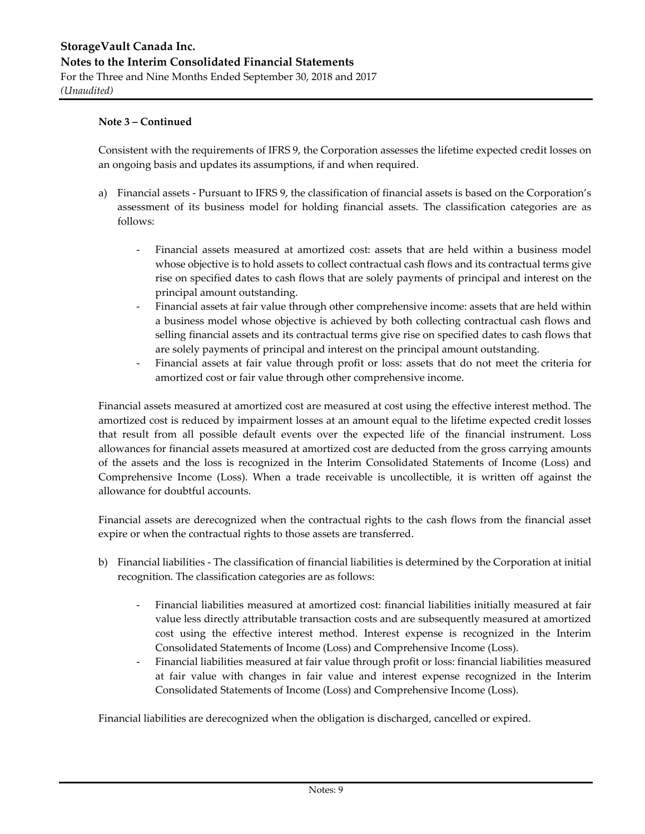Consistent with the requirements of IFRS 9, the Corporation assesses the lifetime expected credit losses on an ongoing basis and updates its assumptions, if and when required.

- a) Financial assets ‐ Pursuant to IFRS 9, the classification of financial assets is based on the Corporation's assessment of its business model for holding financial assets. The classification categories are as follows:
	- Financial assets measured at amortized cost: assets that are held within a business model whose objective is to hold assets to collect contractual cash flows and its contractual terms give rise on specified dates to cash flows that are solely payments of principal and interest on the principal amount outstanding.
	- Financial assets at fair value through other comprehensive income: assets that are held within a business model whose objective is achieved by both collecting contractual cash flows and selling financial assets and its contractual terms give rise on specified dates to cash flows that are solely payments of principal and interest on the principal amount outstanding.
	- Financial assets at fair value through profit or loss: assets that do not meet the criteria for amortized cost or fair value through other comprehensive income.

Financial assets measured at amortized cost are measured at cost using the effective interest method. The amortized cost is reduced by impairment losses at an amount equal to the lifetime expected credit losses that result from all possible default events over the expected life of the financial instrument. Loss allowances for financial assets measured at amortized cost are deducted from the gross carrying amounts of the assets and the loss is recognized in the Interim Consolidated Statements of Income (Loss) and Comprehensive Income (Loss). When a trade receivable is uncollectible, it is written off against the allowance for doubtful accounts.

Financial assets are derecognized when the contractual rights to the cash flows from the financial asset expire or when the contractual rights to those assets are transferred.

- b) Financial liabilities ‐ The classification of financial liabilities is determined by the Corporation at initial recognition. The classification categories are as follows:
	- ‐ Financial liabilities measured at amortized cost: financial liabilities initially measured at fair value less directly attributable transaction costs and are subsequently measured at amortized cost using the effective interest method. Interest expense is recognized in the Interim Consolidated Statements of Income (Loss) and Comprehensive Income (Loss).
	- ‐ Financial liabilities measured at fair value through profit or loss: financial liabilities measured at fair value with changes in fair value and interest expense recognized in the Interim Consolidated Statements of Income (Loss) and Comprehensive Income (Loss).

Financial liabilities are derecognized when the obligation is discharged, cancelled or expired.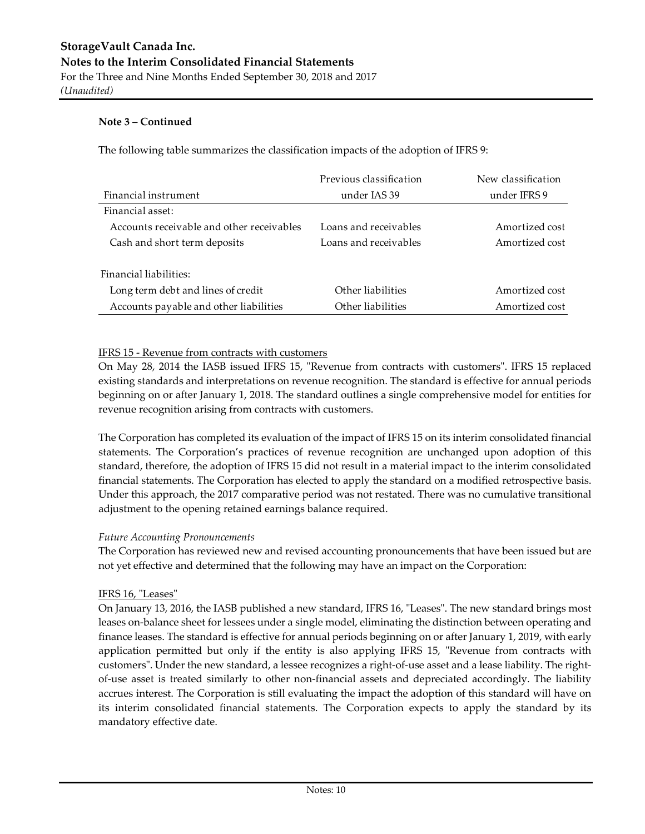The following table summarizes the classification impacts of the adoption of IFRS 9:

| Previous classification | New classification |
|-------------------------|--------------------|
| under IAS 39            | under IFRS 9       |
|                         |                    |
| Loans and receivables   | Amortized cost     |
| Loans and receivables   | Amortized cost     |
|                         |                    |
| Other liabilities       | Amortized cost     |
| Other liabilities       | Amortized cost     |
|                         |                    |

#### IFRS 15 ‐ Revenue from contracts with customers

On May 28, 2014 the IASB issued IFRS 15, "Revenue from contracts with customers". IFRS 15 replaced existing standards and interpretations on revenue recognition. The standard is effective for annual periods beginning on or after January 1, 2018. The standard outlines a single comprehensive model for entities for revenue recognition arising from contracts with customers.

The Corporation has completed its evaluation of the impact of IFRS 15 on its interim consolidated financial statements. The Corporation's practices of revenue recognition are unchanged upon adoption of this standard, therefore, the adoption of IFRS 15 did not result in a material impact to the interim consolidated financial statements. The Corporation has elected to apply the standard on a modified retrospective basis. Under this approach, the 2017 comparative period was not restated. There was no cumulative transitional adjustment to the opening retained earnings balance required.

#### *Future Accounting Pronouncements*

The Corporation has reviewed new and revised accounting pronouncements that have been issued but are not yet effective and determined that the following may have an impact on the Corporation:

#### IFRS 16, "Leases"

On January 13, 2016, the IASB published a new standard, IFRS 16, "Leases". The new standard brings most leases on‐balance sheet for lessees under a single model, eliminating the distinction between operating and finance leases. The standard is effective for annual periods beginning on or after January 1, 2019, with early application permitted but only if the entity is also applying IFRS 15, "Revenue from contracts with customersʺ. Under the new standard, a lessee recognizes a right‐of‐use asset and a lease liability. The right‐ of‐use asset is treated similarly to other non‐financial assets and depreciated accordingly. The liability accrues interest. The Corporation is still evaluating the impact the adoption of this standard will have on its interim consolidated financial statements. The Corporation expects to apply the standard by its mandatory effective date.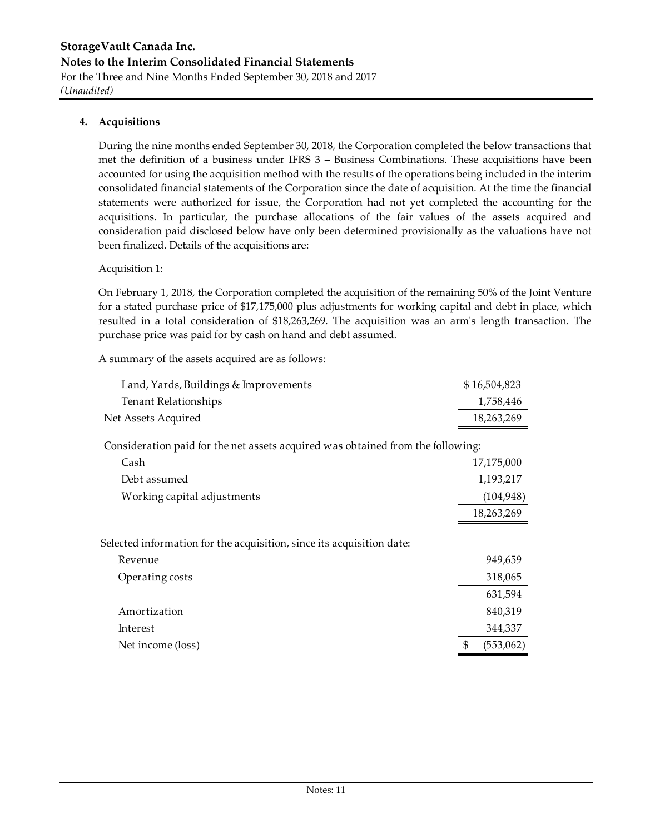#### **4. Acquisitions**

During the nine months ended September 30, 2018, the Corporation completed the below transactions that met the definition of a business under IFRS 3 – Business Combinations. These acquisitions have been accounted for using the acquisition method with the results of the operations being included in the interim consolidated financial statements of the Corporation since the date of acquisition. At the time the financial statements were authorized for issue, the Corporation had not yet completed the accounting for the acquisitions. In particular, the purchase allocations of the fair values of the assets acquired and consideration paid disclosed below have only been determined provisionally as the valuations have not been finalized. Details of the acquisitions are:

#### Acquisition 1:

On February 1, 2018, the Corporation completed the acquisition of the remaining 50% of the Joint Venture for a stated purchase price of \$17,175,000 plus adjustments for working capital and debt in place, which resulted in a total consideration of \$18,263,269. The acquisition was an armʹs length transaction. The purchase price was paid for by cash on hand and debt assumed.

A summary of the assets acquired are as follows:

| Land, Yards, Buildings & Improvements                                           | \$16,504,823    |
|---------------------------------------------------------------------------------|-----------------|
| <b>Tenant Relationships</b>                                                     | 1,758,446       |
| Net Assets Acquired                                                             | 18,263,269      |
| Consideration paid for the net assets acquired was obtained from the following: |                 |
| Cash                                                                            | 17,175,000      |
| Debt assumed                                                                    | 1,193,217       |
| Working capital adjustments                                                     | (104, 948)      |
|                                                                                 | 18,263,269      |
| Selected information for the acquisition, since its acquisition date:           |                 |
| Revenue                                                                         | 949,659         |
| Operating costs                                                                 | 318,065         |
|                                                                                 | 631,594         |
| Amortization                                                                    | 840,319         |
| Interest                                                                        | 344,337         |
| Net income (loss)                                                               | \$<br>(553,062) |
|                                                                                 |                 |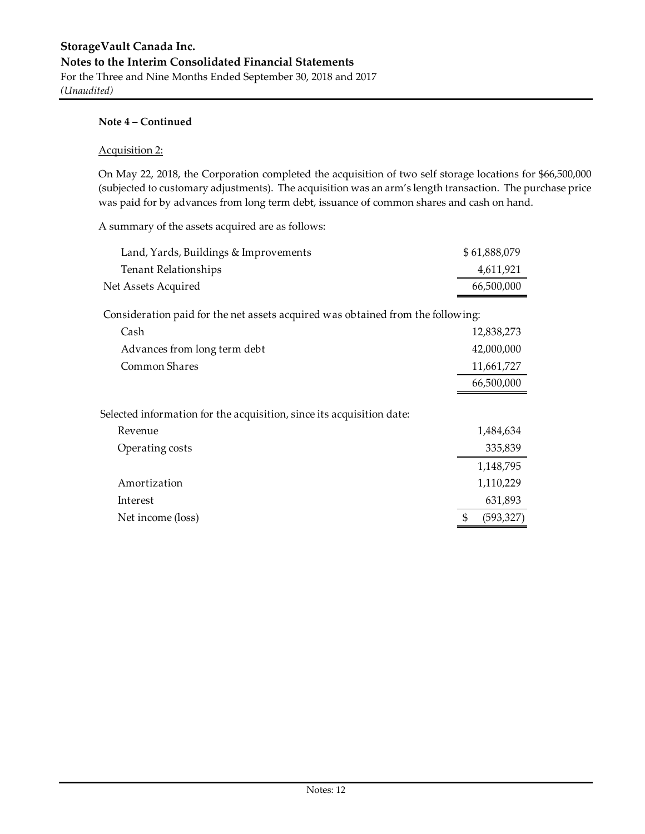#### Acquisition 2:

On May 22, 2018, the Corporation completed the acquisition of two self storage locations for \$66,500,000 (subjected to customary adjustments). The acquisition was an arm's length transaction. The purchase price was paid for by advances from long term debt, issuance of common shares and cash on hand.

A summary of the assets acquired are as follows:

| Land, Yards, Buildings & Improvements                                           | \$61,888,079     |
|---------------------------------------------------------------------------------|------------------|
| Tenant Relationships                                                            | 4,611,921        |
| Net Assets Acquired                                                             | 66,500,000       |
| Consideration paid for the net assets acquired was obtained from the following: |                  |
| Cash                                                                            | 12,838,273       |
| Advances from long term debt                                                    | 42,000,000       |
| Common Shares                                                                   | 11,661,727       |
|                                                                                 | 66,500,000       |
| Selected information for the acquisition, since its acquisition date:           |                  |
| Revenue                                                                         | 1,484,634        |
| Operating costs                                                                 | 335,839          |
|                                                                                 | 1,148,795        |
| Amortization                                                                    | 1,110,229        |
| Interest                                                                        | 631,893          |
| Net income (loss)                                                               | \$<br>(593, 327) |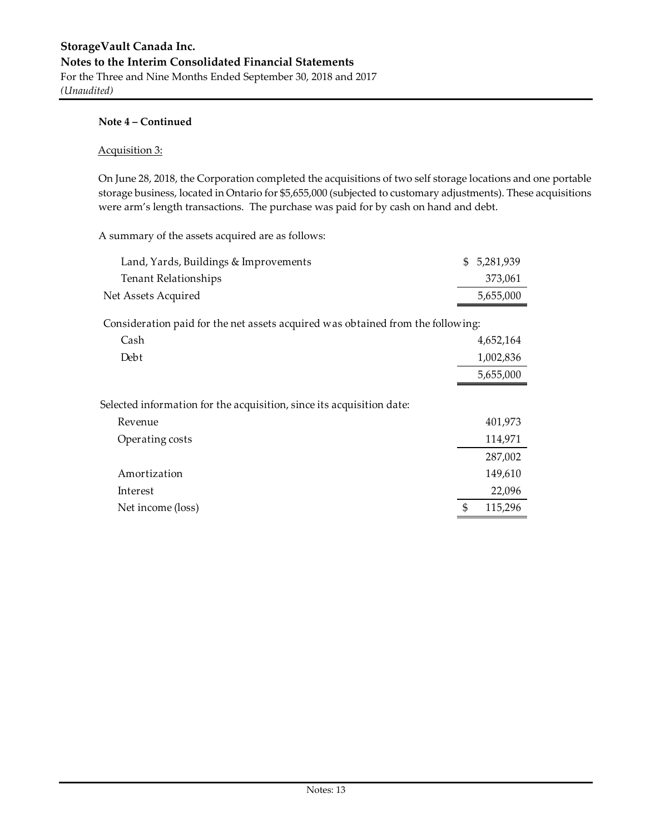#### Acquisition 3:

On June 28, 2018, the Corporation completed the acquisitions of two self storage locations and one portable storage business, located in Ontario for \$5,655,000 (subjected to customary adjustments). These acquisitions were arm's length transactions. The purchase was paid for by cash on hand and debt.

A summary of the assets acquired are as follows:

| Land, Yards, Buildings & Improvements | \$ 5,281,939 |
|---------------------------------------|--------------|
| Tenant Relationships                  | 373.061      |
| Net Assets Acquired                   | 5,655,000    |

Consideration paid for the net assets acquired was obtained from the following:

|                                                                       | $\cdot$ |           |
|-----------------------------------------------------------------------|---------|-----------|
| Cash                                                                  |         | 4,652,164 |
| Debt                                                                  |         | 1,002,836 |
|                                                                       |         | 5,655,000 |
| Selected information for the acquisition, since its acquisition date: |         |           |
| Revenue                                                               |         | 401,973   |
| Operating costs                                                       |         | 114,971   |
|                                                                       |         | 287,002   |
| Amortization                                                          |         | 149,610   |
| Interest                                                              |         | 22,096    |
| Net income (loss)                                                     | \$      | 115,296   |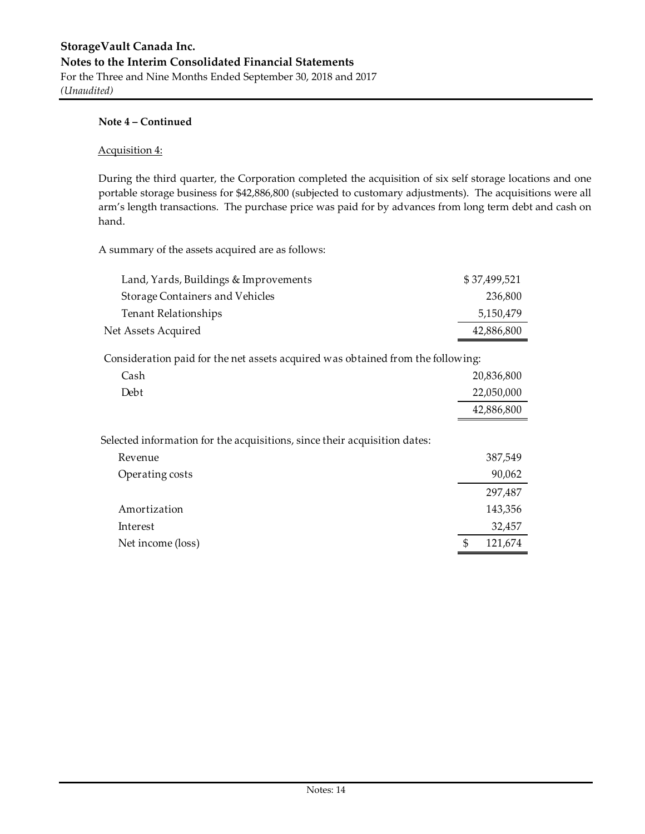#### Acquisition 4:

During the third quarter, the Corporation completed the acquisition of six self storage locations and one portable storage business for \$42,886,800 (subjected to customary adjustments). The acquisitions were all arm's length transactions. The purchase price was paid for by advances from long term debt and cash on hand.

A summary of the assets acquired are as follows:

| Land, Yards, Buildings & Improvements | \$37.499.521 |
|---------------------------------------|--------------|
| Storage Containers and Vehicles       | 236.800      |
| Tenant Relationships                  | 5,150,479    |
| Net Assets Acquired                   | 42,886,800   |

Consideration paid for the net assets acquired was obtained from the following:

| Cash                                                                      | 20,836,800    |
|---------------------------------------------------------------------------|---------------|
| Debt                                                                      | 22,050,000    |
|                                                                           | 42,886,800    |
| Selected information for the acquisitions, since their acquisition dates: |               |
| Revenue                                                                   | 387,549       |
| Operating costs                                                           | 90,062        |
|                                                                           | 297,487       |
| Amortization                                                              | 143,356       |
| Interest                                                                  | 32,457        |
| Net income (loss)                                                         | \$<br>121,674 |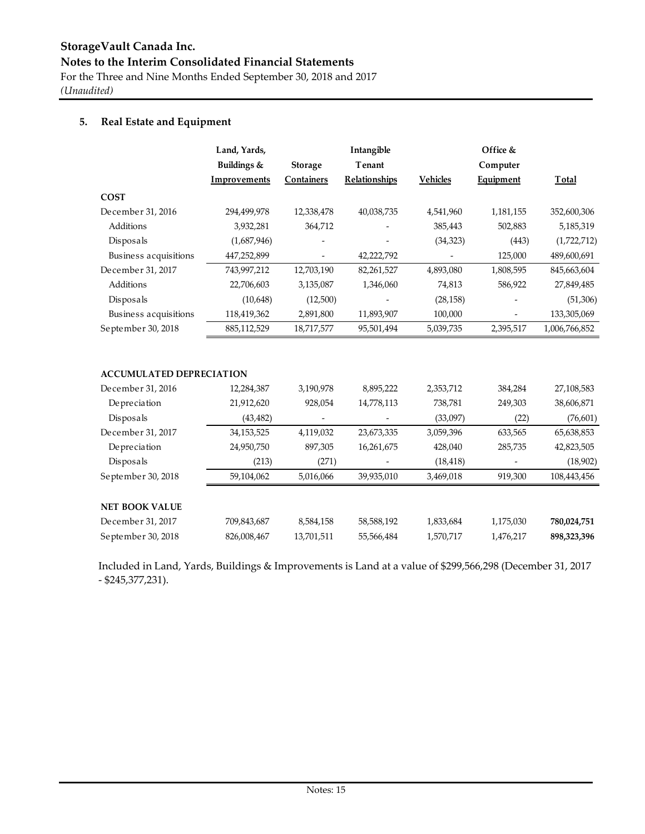### **StorageVault Canada Inc. Notes to the Interim Consolidated Financial Statements**

For the Three and Nine Months Ended September 30, 2018 and 2017 *(Unaudited)*

#### **5. Real Estate and Equipment**

|                       | Land, Yards, |                          | Intangible    |                 | Office &         |               |
|-----------------------|--------------|--------------------------|---------------|-----------------|------------------|---------------|
|                       | Buildings &  | <b>Storage</b>           | <b>Tenant</b> |                 | Computer         |               |
|                       | Improvements | Containers               | Relationships | <b>Vehicles</b> | <b>Equipment</b> | Total         |
| <b>COST</b>           |              |                          |               |                 |                  |               |
| December 31, 2016     | 294,499,978  | 12,338,478               | 40,038,735    | 4,541,960       | 1,181,155        | 352,600,306   |
| Additions             | 3,932,281    | 364,712                  |               | 385,443         | 502,883          | 5,185,319     |
| Disposals             | (1,687,946)  | $\overline{\phantom{a}}$ |               | (34, 323)       | (443)            | (1,722,712)   |
| Business acquisitions | 447,252,899  |                          | 42,222,792    |                 | 125,000          | 489,600,691   |
| December 31, 2017     | 743,997,212  | 12,703,190               | 82,261,527    | 4,893,080       | 1,808,595        | 845,663,604   |
| Additions             | 22,706,603   | 3,135,087                | 1,346,060     | 74,813          | 586,922          | 27,849,485    |
| Disposals             | (10,648)     | (12,500)                 |               | (28, 158)       |                  | (51,306)      |
| Business acquisitions | 118,419,362  | 2,891,800                | 11,893,907    | 100,000         |                  | 133,305,069   |
| September 30, 2018    | 885,112,529  | 18,717,577               | 95,501,494    | 5,039,735       | 2,395,517        | 1,006,766,852 |
|                       |              |                          |               |                 |                  |               |

#### **ACCUMULATED DEPRECIATION**

| December 31, 2016     | 12,284,387  | 3,190,978  | 8,895,222  | 2,353,712 | 384,284   | 27,108,583  |
|-----------------------|-------------|------------|------------|-----------|-----------|-------------|
| Depreciation          | 21,912,620  | 928,054    | 14,778,113 | 738,781   | 249,303   | 38,606,871  |
| Disposals             | (43,482)    |            |            | (33,097)  | (22)      | (76, 601)   |
| December 31, 2017     | 34,153,525  | 4,119,032  | 23,673,335 | 3,059,396 | 633,565   | 65,638,853  |
| Depreciation          | 24,950,750  | 897,305    | 16,261,675 | 428,040   | 285,735   | 42,823,505  |
| Disposals             | (213)       | (271)      |            | (18, 418) |           | (18,902)    |
| September 30, 2018    | 59,104,062  | 5,016,066  | 39,935,010 | 3,469,018 | 919,300   | 108,443,456 |
|                       |             |            |            |           |           |             |
| <b>NET BOOK VALUE</b> |             |            |            |           |           |             |
| December 31, 2017     | 709,843,687 | 8,584,158  | 58,588,192 | 1,833,684 | 1,175,030 | 780,024,751 |
| September 30, 2018    | 826,008,467 | 13,701,511 | 55,566,484 | 1,570,717 | 1,476,217 | 898,323,396 |

Included in Land, Yards, Buildings & Improvements is Land at a value of \$299,566,298 (December 31, 2017 ‐ \$245,377,231).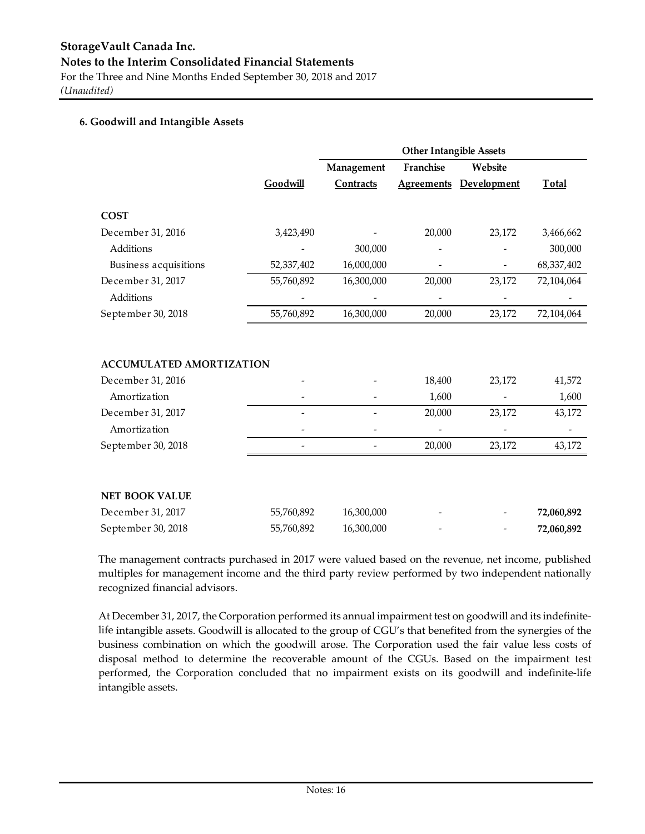#### **StorageVault Canada Inc. Notes to the Interim Consolidated Financial Statements** For the Three and Nine Months Ended September 30, 2018 and 2017

*(Unaudited)*

#### **6. Goodwill and Intangible Assets**

|                                 |                          | <b>Other Intangible Assets</b> |                   |             |            |  |
|---------------------------------|--------------------------|--------------------------------|-------------------|-------------|------------|--|
|                                 |                          | Management                     | Franchise         | Website     |            |  |
|                                 | Goodwill                 | <b>Contracts</b>               | <b>Agreements</b> | Development | Total      |  |
| <b>COST</b>                     |                          |                                |                   |             |            |  |
| December 31, 2016               | 3,423,490                |                                | 20,000            | 23,172      | 3,466,662  |  |
| Additions                       |                          | 300,000                        |                   |             | 300,000    |  |
| Business acquisitions           | 52,337,402               | 16,000,000                     |                   |             | 68,337,402 |  |
| December 31, 2017               | 55,760,892               | 16,300,000                     | 20,000            | 23,172      | 72,104,064 |  |
| Additions                       |                          |                                |                   |             |            |  |
| September 30, 2018              | 55,760,892               | 16,300,000                     | 20,000            | 23,172      | 72,104,064 |  |
| <b>ACCUMULATED AMORTIZATION</b> |                          |                                |                   |             |            |  |
| December 31, 2016               |                          |                                | 18,400            | 23,172      | 41,572     |  |
| Amortization                    |                          |                                | 1,600             |             | 1,600      |  |
| December 31, 2017               |                          |                                | 20,000            | 23,172      | 43,172     |  |
| Amortization                    |                          |                                |                   |             |            |  |
| September 30, 2018              |                          |                                | 20,000            | 23,172      | 43,172     |  |
|                                 |                          |                                |                   |             |            |  |
| <b>NET BOOK VALUE</b>           |                          |                                |                   |             |            |  |
| December 31, 2017               | 55,760,892<br>55,760,892 | 16,300,000<br>16,300,000       |                   |             | 72,060,892 |  |
| September 30, 2018              |                          |                                |                   |             | 72,060,892 |  |

The management contracts purchased in 2017 were valued based on the revenue, net income, published multiples for management income and the third party review performed by two independent nationally recognized financial advisors.

At December 31, 2017, the Corporation performed its annual impairment test on goodwill and its indefinite‐ life intangible assets. Goodwill is allocated to the group of CGU's that benefited from the synergies of the business combination on which the goodwill arose. The Corporation used the fair value less costs of disposal method to determine the recoverable amount of the CGUs. Based on the impairment test performed, the Corporation concluded that no impairment exists on its goodwill and indefinite‐life intangible assets.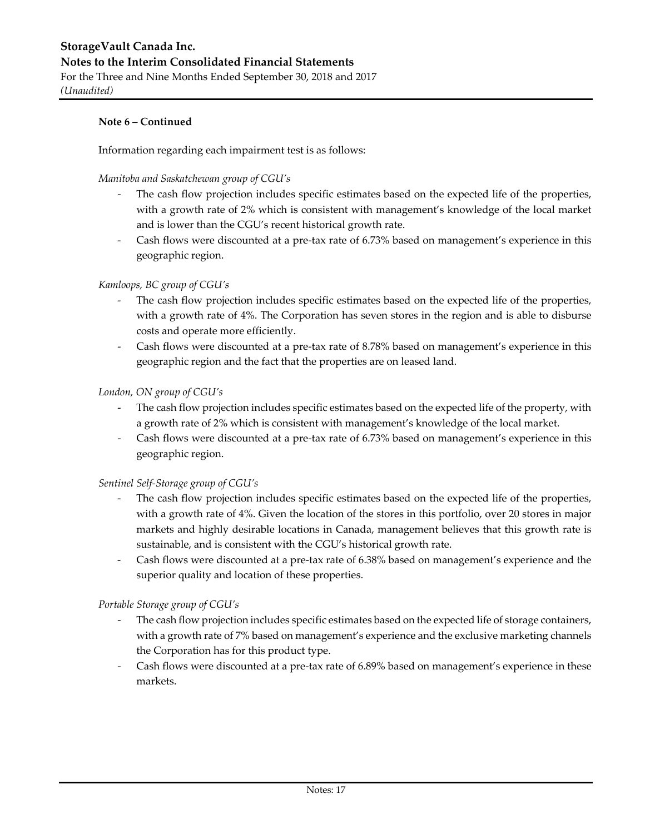For the Three and Nine Months Ended September 30, 2018 and 2017 *(Unaudited)*

#### **Note 6 – Continued**

Information regarding each impairment test is as follows:

*Manitoba and Saskatchewan group of CGU's*

- The cash flow projection includes specific estimates based on the expected life of the properties, with a growth rate of 2% which is consistent with management's knowledge of the local market and is lower than the CGU's recent historical growth rate.
- ‐ Cash flows were discounted at a pre‐tax rate of 6.73% based on management's experience in this geographic region.

#### *Kamloops, BC group of CGU's*

- The cash flow projection includes specific estimates based on the expected life of the properties, with a growth rate of 4%. The Corporation has seven stores in the region and is able to disburse costs and operate more efficiently.
- ‐ Cash flows were discounted at a pre‐tax rate of 8.78% based on management's experience in this geographic region and the fact that the properties are on leased land.

#### *London, ON group of CGU's*

- The cash flow projection includes specific estimates based on the expected life of the property, with a growth rate of 2% which is consistent with management's knowledge of the local market.
- ‐ Cash flows were discounted at a pre‐tax rate of 6.73% based on management's experience in this geographic region.

#### *Sentinel Self‐Storage group of CGU's*

- The cash flow projection includes specific estimates based on the expected life of the properties, with a growth rate of 4%. Given the location of the stores in this portfolio, over 20 stores in major markets and highly desirable locations in Canada, management believes that this growth rate is sustainable, and is consistent with the CGU's historical growth rate.
- ‐ Cash flows were discounted at a pre‐tax rate of 6.38% based on management's experience and the superior quality and location of these properties.

#### *Portable Storage group of CGU's*

- The cash flow projection includes specific estimates based on the expected life of storage containers, with a growth rate of 7% based on management's experience and the exclusive marketing channels the Corporation has for this product type.
- Cash flows were discounted at a pre-tax rate of 6.89% based on management's experience in these markets.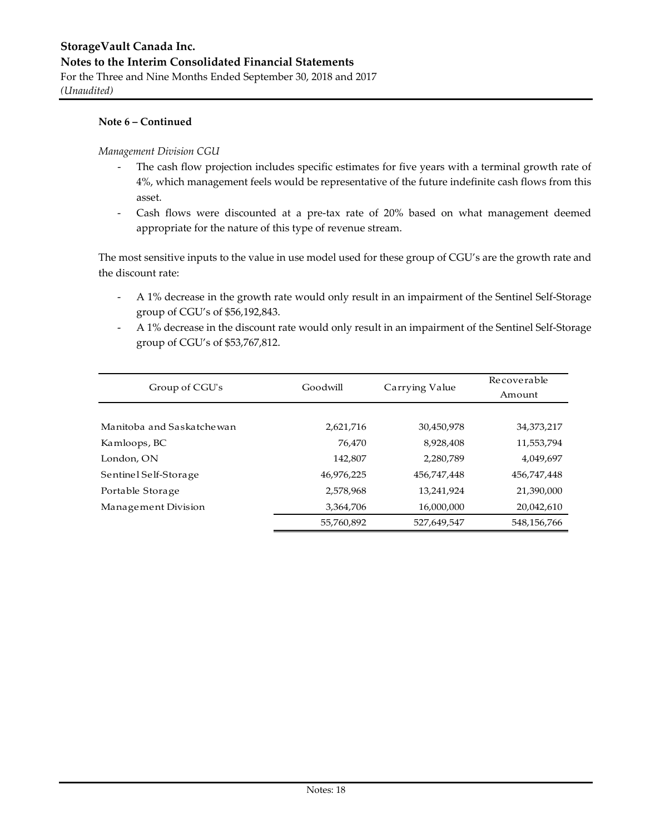#### **Note 6 – Continued**

#### *Management Division CGU*

- The cash flow projection includes specific estimates for five years with a terminal growth rate of 4%, which management feels would be representative of the future indefinite cash flows from this asset.
- Cash flows were discounted at a pre-tax rate of 20% based on what management deemed appropriate for the nature of this type of revenue stream.

The most sensitive inputs to the value in use model used for these group of CGU's are the growth rate and the discount rate:

- ‐ A 1% decrease in the growth rate would only result in an impairment of the Sentinel Self‐Storage group of CGU's of \$56,192,843.
- ‐ A 1% decrease in the discount rate would only result in an impairment of the Sentinel Self‐Storage group of CGU's of \$53,767,812.

| Group of CGU's            | Goodwill   | Carrying Value | Recoverable<br>Amount |
|---------------------------|------------|----------------|-----------------------|
| Manitoba and Saskatchewan | 2,621,716  | 30,450,978     | 34,373,217            |
| Kamloops, BC              | 76.470     | 8,928,408      | 11,553,794            |
| London, ON                | 142,807    | 2,280,789      | 4,049,697             |
| Sentinel Self-Storage     | 46,976,225 | 456,747,448    | 456,747,448           |
| Portable Storage          | 2,578,968  | 13,241,924     | 21,390,000            |
| Management Division       | 3,364,706  | 16,000,000     | 20,042,610            |
|                           | 55,760,892 | 527,649,547    | 548,156,766           |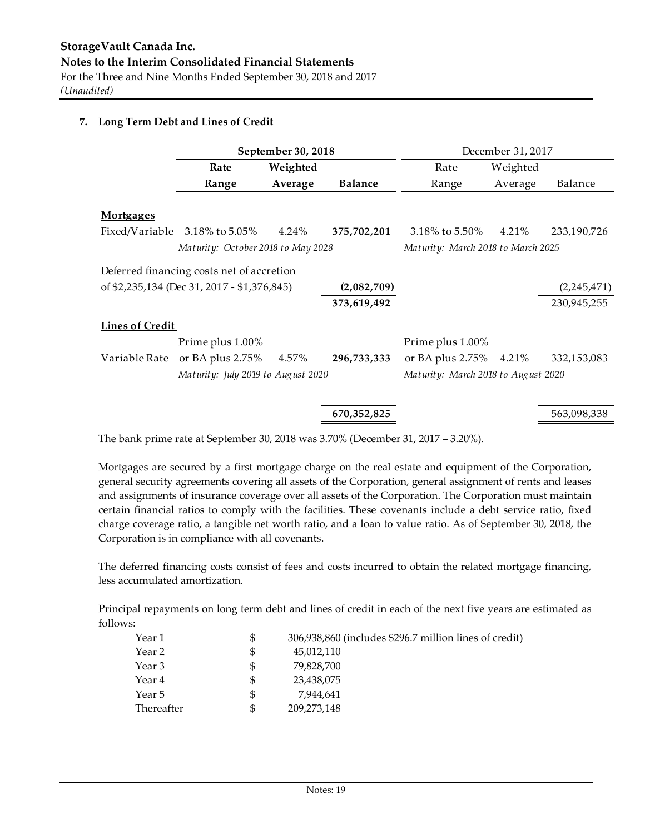#### **7. Long Term Debt and Lines of Credit**

|                                    |                                             | September 30, 2018 |                                    | December 31, 2017                   |          |             |
|------------------------------------|---------------------------------------------|--------------------|------------------------------------|-------------------------------------|----------|-------------|
|                                    | Rate                                        | Weighted           |                                    | Rate                                | Weighted |             |
|                                    | Range                                       | Average            | <b>Balance</b>                     | Range                               | Average  | Balance     |
|                                    |                                             |                    |                                    |                                     |          |             |
| <b>Mortgages</b>                   |                                             |                    |                                    |                                     |          |             |
|                                    | Fixed/Variable $3.18\%$ to $5.05\%$         | $4.24\%$           | 375,702,201                        | 3.18% to 5.50%                      | 4.21%    | 233,190,726 |
| Maturity: October 2018 to May 2028 |                                             |                    | Maturity: March 2018 to March 2025 |                                     |          |             |
|                                    | Deferred financing costs net of accretion   |                    |                                    |                                     |          |             |
|                                    | of \$2,235,134 (Dec 31, 2017 - \$1,376,845) |                    | (2,082,709)                        |                                     |          | (2,245,471) |
|                                    |                                             |                    | 373,619,492                        |                                     |          | 230,945,255 |
| <b>Lines of Credit</b>             |                                             |                    |                                    |                                     |          |             |
|                                    | Prime plus 1.00%                            |                    |                                    | Prime plus 1.00%                    |          |             |
| Variable Rate                      | or BA plus $2.75\%$                         | 4.57%              | 296,733,333                        | or BA plus 2.75% 4.21%              |          | 332,153,083 |
|                                    | Maturity: July 2019 to August 2020          |                    |                                    | Maturity: March 2018 to August 2020 |          |             |
|                                    |                                             |                    |                                    |                                     |          |             |
|                                    |                                             |                    |                                    |                                     |          |             |

The bank prime rate at September 30, 2018 was 3.70% (December 31, 2017 – 3.20%).

Mortgages are secured by a first mortgage charge on the real estate and equipment of the Corporation, general security agreements covering all assets of the Corporation, general assignment of rents and leases and assignments of insurance coverage over all assets of the Corporation. The Corporation must maintain certain financial ratios to comply with the facilities. These covenants include a debt service ratio, fixed charge coverage ratio, a tangible net worth ratio, and a loan to value ratio. As of September 30, 2018, the Corporation is in compliance with all covenants.

 **670,352,825** 563,098,338

The deferred financing costs consist of fees and costs incurred to obtain the related mortgage financing, less accumulated amortization.

Principal repayments on long term debt and lines of credit in each of the next five years are estimated as follows:

| Year 1     | \$ | 306,938,860 (includes \$296.7 million lines of credit) |
|------------|----|--------------------------------------------------------|
| Year 2     | \$ | 45,012,110                                             |
| Year 3     | S  | 79,828,700                                             |
| Year 4     | S  | 23,438,075                                             |
| Year 5     | S  | 7.944.641                                              |
| Thereafter | S  | 209,273,148                                            |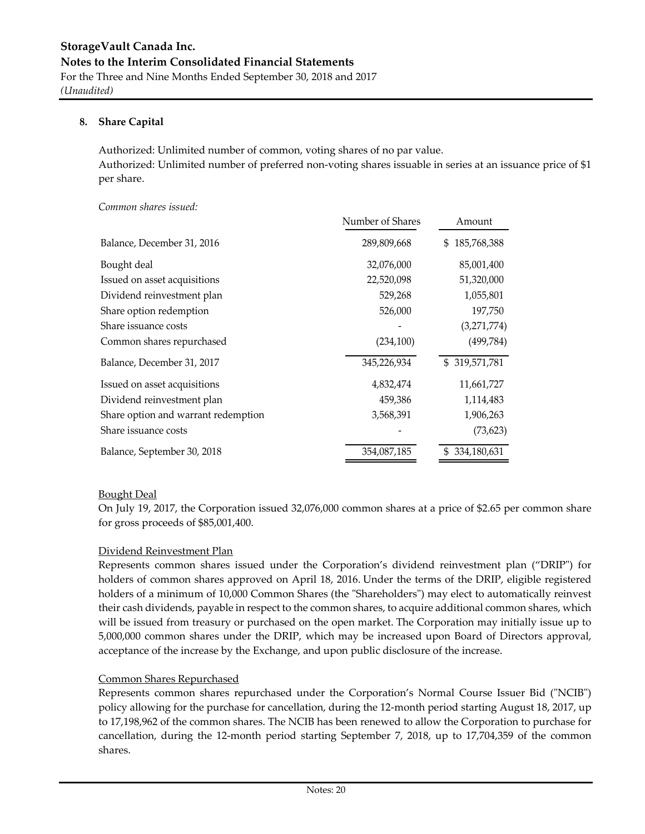#### **8. Share Capital**

Authorized: Unlimited number of common, voting shares of no par value. Authorized: Unlimited number of preferred non‐voting shares issuable in series at an issuance price of \$1 per share.

*Common shares issued:* 

|                                     | Number of Shares | Amount           |
|-------------------------------------|------------------|------------------|
| Balance, December 31, 2016          | 289,809,668      | 185,768,388<br>S |
| Bought deal                         | 32,076,000       | 85,001,400       |
| Issued on asset acquisitions        | 22,520,098       | 51,320,000       |
| Dividend reinvestment plan          | 529,268          | 1,055,801        |
| Share option redemption             | 526,000          | 197,750          |
| Share issuance costs                |                  | (3,271,774)      |
| Common shares repurchased           | (234, 100)       | (499, 784)       |
| Balance, December 31, 2017          | 345,226,934      | \$319,571,781    |
| Issued on asset acquisitions        | 4,832,474        | 11,661,727       |
| Dividend reinvestment plan          | 459,386          | 1,114,483        |
| Share option and warrant redemption | 3,568,391        | 1,906,263        |
| Share issuance costs                |                  | (73, 623)        |
| Balance, September 30, 2018         | 354,087,185      | 334,180,631      |

#### Bought Deal

On July 19, 2017, the Corporation issued 32,076,000 common shares at a price of \$2.65 per common share for gross proceeds of \$85,001,400.

#### Dividend Reinvestment Plan

Represents common shares issued under the Corporation's dividend reinvestment plan ("DRIP") for holders of common shares approved on April 18, 2016. Under the terms of the DRIP, eligible registered holders of a minimum of 10,000 Common Shares (the "Shareholders") may elect to automatically reinvest their cash dividends, payable in respect to the common shares, to acquire additional common shares, which will be issued from treasury or purchased on the open market. The Corporation may initially issue up to 5,000,000 common shares under the DRIP, which may be increased upon Board of Directors approval, acceptance of the increase by the Exchange, and upon public disclosure of the increase.

#### Common Shares Repurchased

Represents common shares repurchased under the Corporation's Normal Course Issuer Bid ("NCIB") policy allowing for the purchase for cancellation, during the 12‐month period starting August 18, 2017, up to 17,198,962 of the common shares. The NCIB has been renewed to allow the Corporation to purchase for cancellation, during the 12‐month period starting September 7, 2018, up to 17,704,359 of the common shares.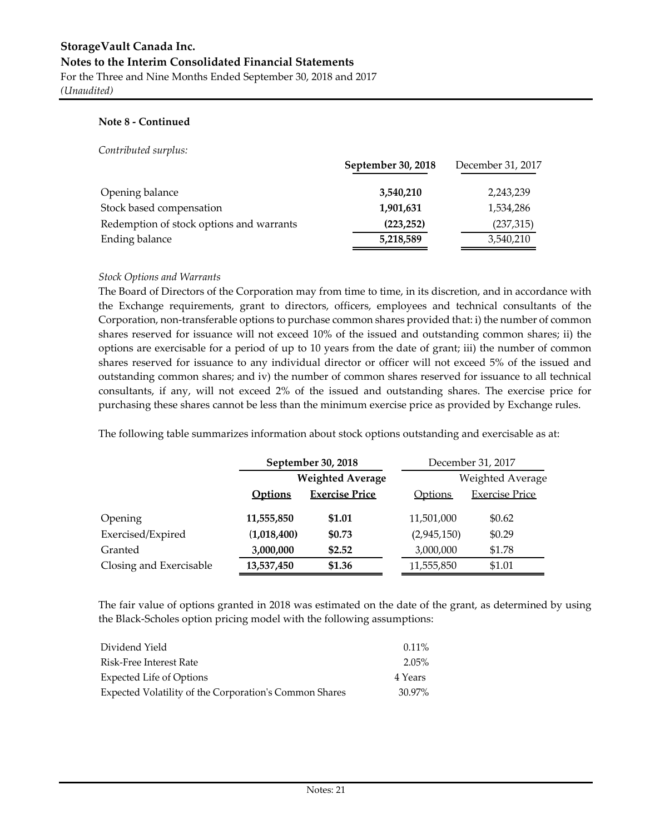#### **Note 8 ‐ Continued**

*Contributed surplus:*

|                                          | September 30, 2018 | December 31, 2017 |
|------------------------------------------|--------------------|-------------------|
| Opening balance                          | 3,540,210          | 2,243,239         |
| Stock based compensation                 | 1,901,631          | 1,534,286         |
| Redemption of stock options and warrants | (223, 252)         | (237, 315)        |
| <b>Ending balance</b>                    | 5,218,589          | 3,540,210         |
|                                          |                    |                   |

#### *Stock Options and Warrants*

The Board of Directors of the Corporation may from time to time, in its discretion, and in accordance with the Exchange requirements, grant to directors, officers, employees and technical consultants of the Corporation, non‐transferable options to purchase common shares provided that: i) the number of common shares reserved for issuance will not exceed 10% of the issued and outstanding common shares; ii) the options are exercisable for a period of up to 10 years from the date of grant; iii) the number of common shares reserved for issuance to any individual director or officer will not exceed 5% of the issued and outstanding common shares; and iv) the number of common shares reserved for issuance to all technical consultants, if any, will not exceed 2% of the issued and outstanding shares. The exercise price for purchasing these shares cannot be less than the minimum exercise price as provided by Exchange rules.

The following table summarizes information about stock options outstanding and exercisable as at:

|                         |                | September 30, 2018      |                | December 31, 2017     |
|-------------------------|----------------|-------------------------|----------------|-----------------------|
|                         |                | <b>Weighted Average</b> |                | Weighted Average      |
|                         | <b>Options</b> | <b>Exercise Price</b>   | <b>Options</b> | <b>Exercise Price</b> |
| Opening                 | 11,555,850     | \$1.01                  | 11,501,000     | \$0.62                |
| Exercised/Expired       | (1,018,400)    | \$0.73                  | (2,945,150)    | \$0.29                |
| Granted                 | 3,000,000      | \$2.52                  | 3,000,000      | \$1.78                |
| Closing and Exercisable | 13,537,450     | \$1.36                  | 11,555,850     | \$1.01                |

The fair value of options granted in 2018 was estimated on the date of the grant, as determined by using the Black‐Scholes option pricing model with the following assumptions:

| Dividend Yield                                         | $0.11\%$ |
|--------------------------------------------------------|----------|
| Risk-Free Interest Rate                                | 2.05%    |
| Expected Life of Options                               | 4 Years  |
| Expected Volatility of the Corporation's Common Shares | 30.97%   |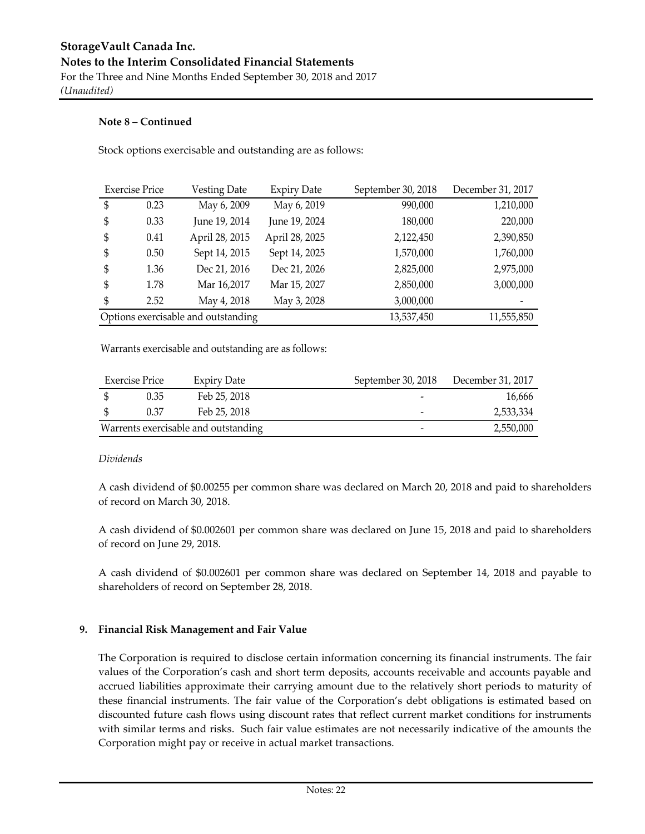Stock options exercisable and outstanding are as follows:

| <b>Exercise Price</b> | <b>Vesting Date</b>                 | <b>Expiry Date</b> | September 30, 2018 | December 31, 2017 |
|-----------------------|-------------------------------------|--------------------|--------------------|-------------------|
| \$<br>0.23            | May 6, 2009                         | May 6, 2019        | 990,000            | 1,210,000         |
| \$<br>0.33            | June 19, 2014                       | June 19, 2024      | 180,000            | 220,000           |
| \$<br>0.41            | April 28, 2015                      | April 28, 2025     | 2,122,450          | 2,390,850         |
| \$<br>0.50            | Sept 14, 2015                       | Sept 14, 2025      | 1,570,000          | 1,760,000         |
| \$<br>1.36            | Dec 21, 2016                        | Dec 21, 2026       | 2,825,000          | 2,975,000         |
| \$<br>1.78            | Mar 16,2017                         | Mar 15, 2027       | 2,850,000          | 3,000,000         |
| \$<br>2.52            | May 4, 2018                         | May 3, 2028        | 3,000,000          |                   |
|                       | Options exercisable and outstanding |                    | 13,537,450         | 11,555,850        |

Warrants exercisable and outstanding are as follows:

| Exercise Price | <b>Expiry Date</b>                   | September 30, 2018 | December 31, 2017 |
|----------------|--------------------------------------|--------------------|-------------------|
| 0.35           | Feb 25, 2018                         |                    | 16,666            |
| 0.37           | Feb 25, 2018                         |                    | 2,533,334         |
|                | Warrents exercisable and outstanding | -                  | 2,550,000         |

#### *Dividends*

A cash dividend of \$0.00255 per common share was declared on March 20, 2018 and paid to shareholders of record on March 30, 2018.

A cash dividend of \$0.002601 per common share was declared on June 15, 2018 and paid to shareholders of record on June 29, 2018.

A cash dividend of \$0.002601 per common share was declared on September 14, 2018 and payable to shareholders of record on September 28, 2018.

#### **9. Financial Risk Management and Fair Value**

The Corporation is required to disclose certain information concerning its financial instruments. The fair values of the Corporation's cash and short term deposits, accounts receivable and accounts payable and accrued liabilities approximate their carrying amount due to the relatively short periods to maturity of these financial instruments. The fair value of the Corporation's debt obligations is estimated based on discounted future cash flows using discount rates that reflect current market conditions for instruments with similar terms and risks. Such fair value estimates are not necessarily indicative of the amounts the Corporation might pay or receive in actual market transactions.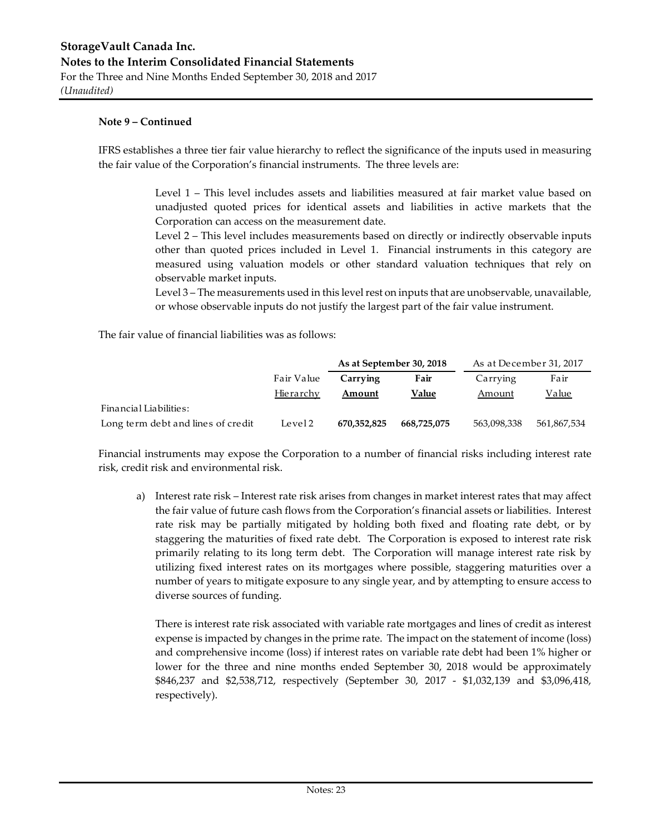IFRS establishes a three tier fair value hierarchy to reflect the significance of the inputs used in measuring the fair value of the Corporation's financial instruments. The three levels are:

> Level 1 – This level includes assets and liabilities measured at fair market value based on unadjusted quoted prices for identical assets and liabilities in active markets that the Corporation can access on the measurement date.

> Level 2 – This level includes measurements based on directly or indirectly observable inputs other than quoted prices included in Level 1. Financial instruments in this category are measured using valuation models or other standard valuation techniques that rely on observable market inputs.

> Level 3 – The measurements used in this level rest on inputs that are unobservable, unavailable, or whose observable inputs do not justify the largest part of the fair value instrument.

The fair value of financial liabilities was as follows:

|                                    |            | As at September 30, 2018 |             | As at December 31, 2017 |              |
|------------------------------------|------------|--------------------------|-------------|-------------------------|--------------|
|                                    | Fair Value | Carrying                 | Fair        | Carrying                | Fair         |
|                                    | Hierarchy  | Amount                   | Value       | Amount                  | <u>Value</u> |
| Financial Liabilities:             |            |                          |             |                         |              |
| Long term debt and lines of credit | Level 2    | 670,352,825              | 668.725.075 | 563,098,338             | 561,867,534  |

Financial instruments may expose the Corporation to a number of financial risks including interest rate risk, credit risk and environmental risk.

a) Interest rate risk – Interest rate risk arises from changes in market interest rates that may affect the fair value of future cash flows from the Corporation's financial assets or liabilities. Interest rate risk may be partially mitigated by holding both fixed and floating rate debt, or by staggering the maturities of fixed rate debt. The Corporation is exposed to interest rate risk primarily relating to its long term debt. The Corporation will manage interest rate risk by utilizing fixed interest rates on its mortgages where possible, staggering maturities over a number of years to mitigate exposure to any single year, and by attempting to ensure access to diverse sources of funding.

There is interest rate risk associated with variable rate mortgages and lines of credit as interest expense is impacted by changes in the prime rate. The impact on the statement of income (loss) and comprehensive income (loss) if interest rates on variable rate debt had been 1% higher or lower for the three and nine months ended September 30, 2018 would be approximately \$846,237 and \$2,538,712, respectively (September 30, 2017 ‐ \$1,032,139 and \$3,096,418, respectively).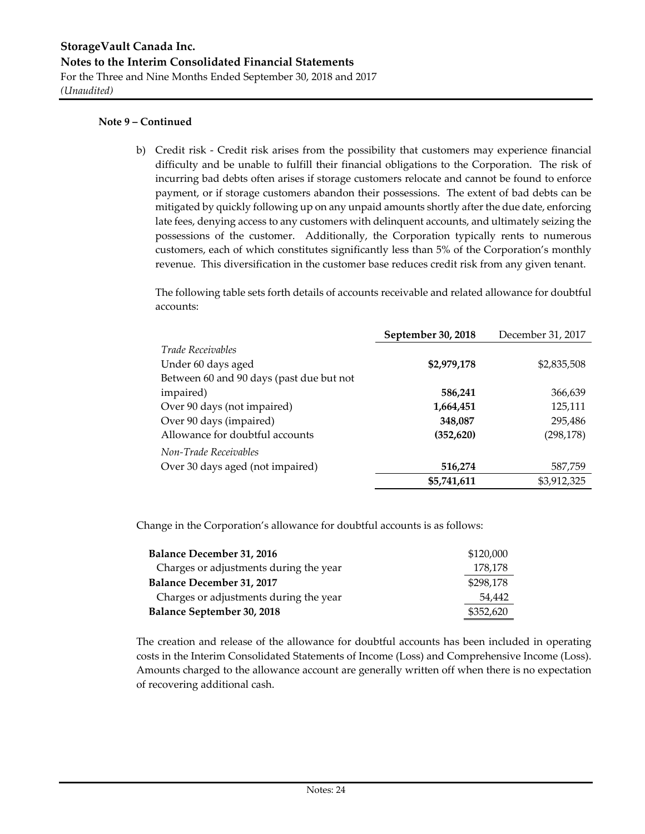b) Credit risk - Credit risk arises from the possibility that customers may experience financial difficulty and be unable to fulfill their financial obligations to the Corporation. The risk of incurring bad debts often arises if storage customers relocate and cannot be found to enforce payment, or if storage customers abandon their possessions. The extent of bad debts can be mitigated by quickly following up on any unpaid amounts shortly after the due date, enforcing late fees, denying access to any customers with delinquent accounts, and ultimately seizing the possessions of the customer. Additionally, the Corporation typically rents to numerous customers, each of which constitutes significantly less than 5% of the Corporation's monthly revenue. This diversification in the customer base reduces credit risk from any given tenant.

The following table sets forth details of accounts receivable and related allowance for doubtful accounts:

|                                          | September 30, 2018 | December 31, 2017 |
|------------------------------------------|--------------------|-------------------|
| <i>Trade Receivables</i>                 |                    |                   |
| Under 60 days aged                       | \$2,979,178        | \$2,835,508       |
| Between 60 and 90 days (past due but not |                    |                   |
| impaired)                                | 586,241            | 366,639           |
| Over 90 days (not impaired)              | 1,664,451          | 125,111           |
| Over 90 days (impaired)                  | 348,087            | 295,486           |
| Allowance for doubtful accounts          | (352, 620)         | (298, 178)        |
| Non-Trade Receivables                    |                    |                   |
| Over 30 days aged (not impaired)         | 516,274            | 587,759           |
|                                          | \$5,741,611        | \$3,912,325       |

Change in the Corporation's allowance for doubtful accounts is as follows:

| <b>Balance December 31, 2016</b>       | \$120,000 |  |
|----------------------------------------|-----------|--|
| Charges or adjustments during the year | 178,178   |  |
| <b>Balance December 31, 2017</b>       | \$298,178 |  |
| Charges or adjustments during the year | 54.442    |  |
| <b>Balance September 30, 2018</b>      | \$352,620 |  |

The creation and release of the allowance for doubtful accounts has been included in operating costs in the Interim Consolidated Statements of Income (Loss) and Comprehensive Income (Loss). Amounts charged to the allowance account are generally written off when there is no expectation of recovering additional cash.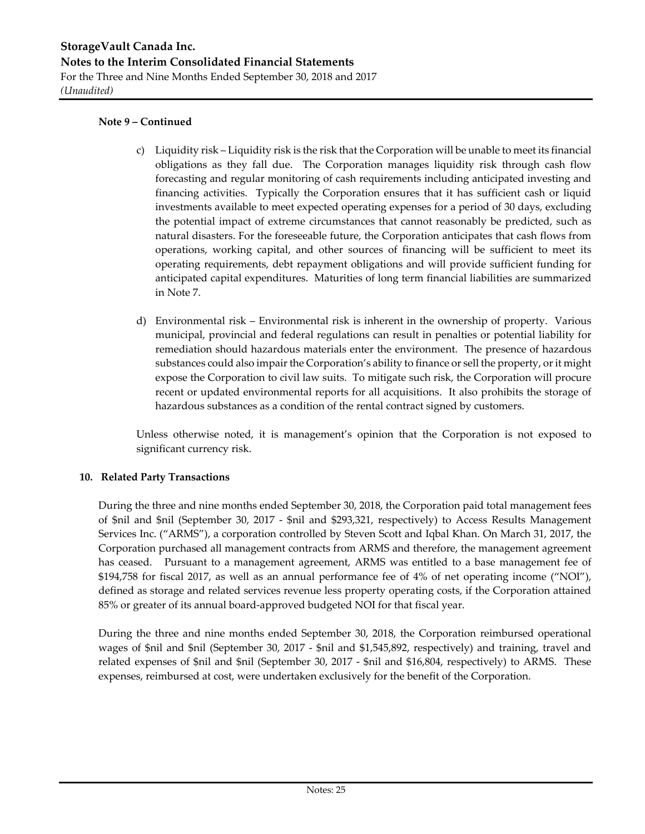- c) Liquidity risk Liquidity risk is the risk that the Corporation will be unable to meet its financial obligations as they fall due. The Corporation manages liquidity risk through cash flow forecasting and regular monitoring of cash requirements including anticipated investing and financing activities. Typically the Corporation ensures that it has sufficient cash or liquid investments available to meet expected operating expenses for a period of 30 days, excluding the potential impact of extreme circumstances that cannot reasonably be predicted, such as natural disasters. For the foreseeable future, the Corporation anticipates that cash flows from operations, working capital, and other sources of financing will be sufficient to meet its operating requirements, debt repayment obligations and will provide sufficient funding for anticipated capital expenditures. Maturities of long term financial liabilities are summarized in Note 7.
- d) Environmental risk Environmental risk is inherent in the ownership of property. Various municipal, provincial and federal regulations can result in penalties or potential liability for remediation should hazardous materials enter the environment. The presence of hazardous substances could also impair the Corporation's ability to finance or sell the property, or it might expose the Corporation to civil law suits. To mitigate such risk, the Corporation will procure recent or updated environmental reports for all acquisitions. It also prohibits the storage of hazardous substances as a condition of the rental contract signed by customers.

Unless otherwise noted, it is management's opinion that the Corporation is not exposed to significant currency risk.

#### **10. Related Party Transactions**

During the three and nine months ended September 30, 2018, the Corporation paid total management fees of \$nil and \$nil (September 30, 2017 ‐ \$nil and \$293,321, respectively) to Access Results Management Services Inc. ("ARMS"), a corporation controlled by Steven Scott and Iqbal Khan. On March 31, 2017, the Corporation purchased all management contracts from ARMS and therefore, the management agreement has ceased. Pursuant to a management agreement, ARMS was entitled to a base management fee of \$194,758 for fiscal 2017, as well as an annual performance fee of 4% of net operating income ("NOI"), defined as storage and related services revenue less property operating costs, if the Corporation attained 85% or greater of its annual board‐approved budgeted NOI for that fiscal year.

During the three and nine months ended September 30, 2018, the Corporation reimbursed operational wages of \$nil and \$nil (September 30, 2017 - \$nil and \$1,545,892, respectively) and training, travel and related expenses of \$nil and \$nil (September 30, 2017 ‐ \$nil and \$16,804, respectively) to ARMS. These expenses, reimbursed at cost, were undertaken exclusively for the benefit of the Corporation.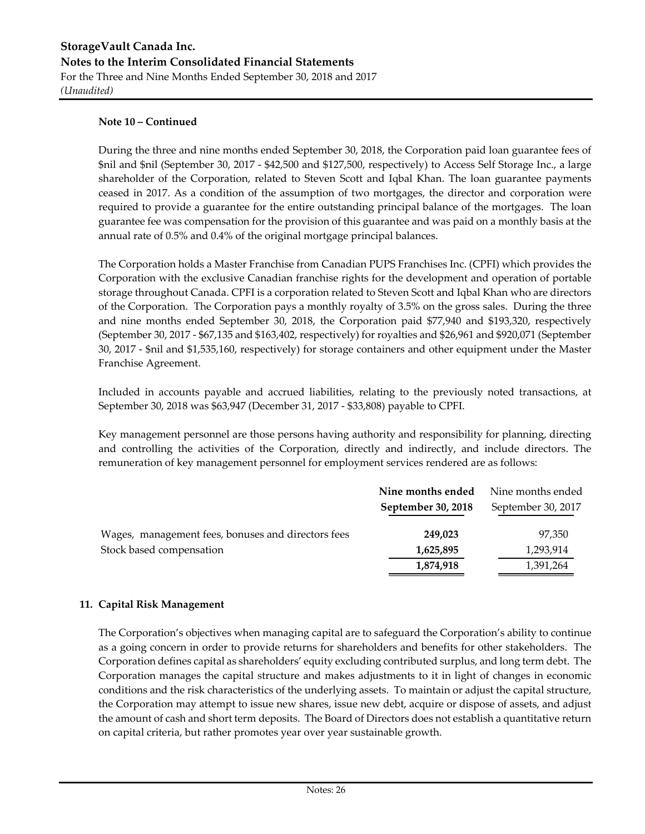During the three and nine months ended September 30, 2018, the Corporation paid loan guarantee fees of \$nil and \$nil (September 30, 2017 ‐ \$42,500 and \$127,500, respectively) to Access Self Storage Inc., a large shareholder of the Corporation, related to Steven Scott and Iqbal Khan. The loan guarantee payments ceased in 2017. As a condition of the assumption of two mortgages, the director and corporation were required to provide a guarantee for the entire outstanding principal balance of the mortgages. The loan guarantee fee was compensation for the provision of this guarantee and was paid on a monthly basis at the annual rate of 0.5% and 0.4% of the original mortgage principal balances.

The Corporation holds a Master Franchise from Canadian PUPS Franchises Inc. (CPFI) which provides the Corporation with the exclusive Canadian franchise rights for the development and operation of portable storage throughout Canada. CPFI is a corporation related to Steven Scott and Iqbal Khan who are directors of the Corporation. The Corporation pays a monthly royalty of 3.5% on the gross sales. During the three and nine months ended September 30, 2018, the Corporation paid \$77,940 and \$193,320, respectively (September 30, 2017 ‐ \$67,135 and \$163,402, respectively) for royalties and \$26,961 and \$920,071 (September 30, 2017 ‐ \$nil and \$1,535,160, respectively) for storage containers and other equipment under the Master Franchise Agreement.

Included in accounts payable and accrued liabilities, relating to the previously noted transactions, at September 30, 2018 was \$63,947 (December 31, 2017 ‐ \$33,808) payable to CPFI.

Key management personnel are those persons having authority and responsibility for planning, directing and controlling the activities of the Corporation, directly and indirectly, and include directors. The remuneration of key management personnel for employment services rendered are as follows:

|                                                    | Nine months ended  | Nine months ended  |
|----------------------------------------------------|--------------------|--------------------|
|                                                    | September 30, 2018 | September 30, 2017 |
| Wages, management fees, bonuses and directors fees | 249,023            | 97.350             |
| Stock based compensation                           | 1,625,895          | 1,293,914          |
|                                                    | 1,874,918          | 1,391,264          |

#### **11. Capital Risk Management**

The Corporation's objectives when managing capital are to safeguard the Corporation's ability to continue as a going concern in order to provide returns for shareholders and benefits for other stakeholders. The Corporation defines capital as shareholders' equity excluding contributed surplus, and long term debt. The Corporation manages the capital structure and makes adjustments to it in light of changes in economic conditions and the risk characteristics of the underlying assets. To maintain or adjust the capital structure, the Corporation may attempt to issue new shares, issue new debt, acquire or dispose of assets, and adjust the amount of cash and short term deposits. The Board of Directors does not establish a quantitative return on capital criteria, but rather promotes year over year sustainable growth.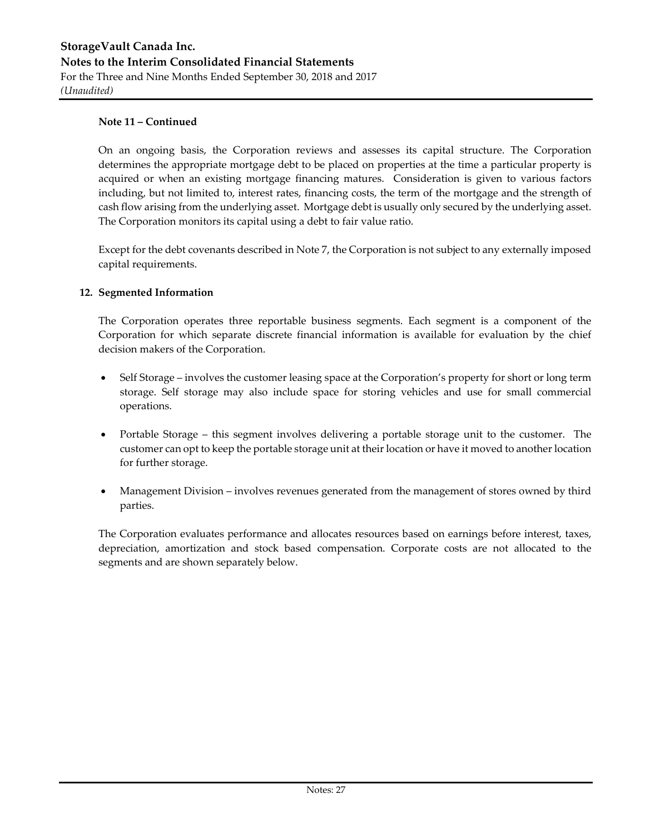On an ongoing basis, the Corporation reviews and assesses its capital structure. The Corporation determines the appropriate mortgage debt to be placed on properties at the time a particular property is acquired or when an existing mortgage financing matures. Consideration is given to various factors including, but not limited to, interest rates, financing costs, the term of the mortgage and the strength of cash flow arising from the underlying asset. Mortgage debt is usually only secured by the underlying asset. The Corporation monitors its capital using a debt to fair value ratio.

Except for the debt covenants described in Note 7, the Corporation is not subject to any externally imposed capital requirements.

#### **12. Segmented Information**

The Corporation operates three reportable business segments. Each segment is a component of the Corporation for which separate discrete financial information is available for evaluation by the chief decision makers of the Corporation.

- Self Storage involves the customer leasing space at the Corporation's property for short or long term storage. Self storage may also include space for storing vehicles and use for small commercial operations.
- Portable Storage this segment involves delivering a portable storage unit to the customer. The customer can opt to keep the portable storage unit at their location or have it moved to another location for further storage.
- Management Division involves revenues generated from the management of stores owned by third parties.

The Corporation evaluates performance and allocates resources based on earnings before interest, taxes, depreciation, amortization and stock based compensation. Corporate costs are not allocated to the segments and are shown separately below.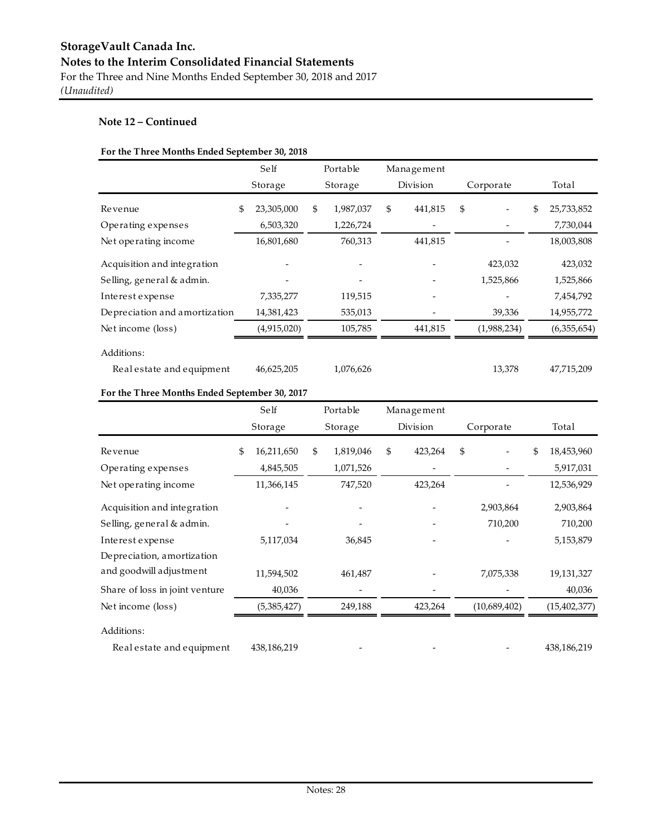#### **Note 12 – Continued**

#### **For the Three Months Ended September 30, 2018**

|                               | Self                          | Portable                     | Management    |             |                               |
|-------------------------------|-------------------------------|------------------------------|---------------|-------------|-------------------------------|
|                               | Storage                       | Storage                      | Division      | Corporate   | Total                         |
| Revenue<br>Operating expenses | \$<br>23,305,000<br>6,503,320 | \$<br>1,987,037<br>1,226,724 | \$<br>441,815 | \$          | \$<br>25,733,852<br>7,730,044 |
| Net operating income          | 16,801,680                    | 760,313                      | 441,815       |             | 18,003,808                    |
| Acquisition and integration   |                               |                              |               | 423,032     | 423,032                       |
| Selling, general & admin.     |                               |                              |               | 1,525,866   | 1,525,866                     |
| Interest expense              | 7,335,277                     | 119,515                      |               |             | 7,454,792                     |
| Depreciation and amortization | 14,381,423                    | 535,013                      |               | 39,336      | 14,955,772                    |
| Net income (loss)             | (4,915,020)                   | 105,785                      | 441,815       | (1,988,234) | (6,355,654)                   |
| Additions:                    |                               |                              |               |             |                               |
| Real estate and equipment     | 46,625,205                    | 1,076,626                    |               | 13,378      | 47,715,209                    |

#### **For the Three Months Ended September 30, 2017**

|                                | Self             | Portable        | Management    |              |                  |
|--------------------------------|------------------|-----------------|---------------|--------------|------------------|
|                                | Storage          | Storage         | Division      | Corporate    | Total            |
| Revenue                        | \$<br>16,211,650 | \$<br>1,819,046 | \$<br>423,264 | \$           | \$<br>18,453,960 |
| Operating expenses             | 4,845,505        | 1,071,526       |               |              | 5,917,031        |
| Net operating income           | 11,366,145       | 747,520         | 423,264       |              | 12,536,929       |
| Acquisition and integration    |                  |                 |               | 2,903,864    | 2,903,864        |
| Selling, general & admin.      |                  |                 |               | 710,200      | 710,200          |
| Interest expense               | 5,117,034        | 36,845          |               |              | 5,153,879        |
| Depreciation, amortization     |                  |                 |               |              |                  |
| and goodwill adjustment        | 11,594,502       | 461,487         |               | 7,075,338    | 19,131,327       |
| Share of loss in joint venture | 40,036           |                 |               |              | 40,036           |
| Net income (loss)              | (5,385,427)      | 249,188         | 423,264       | (10,689,402) | (15, 402, 377)   |
| Additions:                     |                  |                 |               |              |                  |
| Real estate and equipment      | 438,186,219      |                 |               |              | 438,186,219      |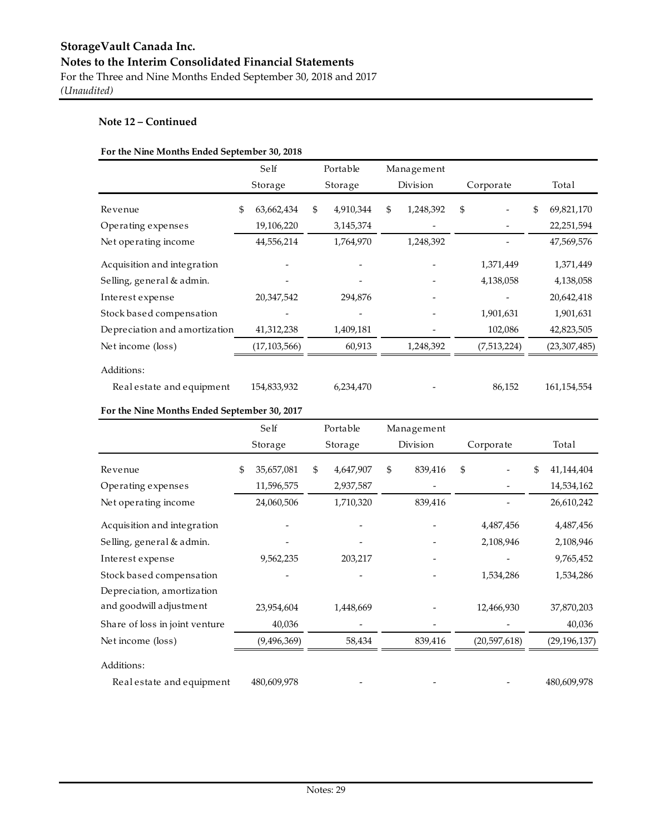#### **Note 12 – Continued**

#### **For the Nine Months Ended September 30, 2018**

|                               | Self             | Portable        | Management      |             |                  |
|-------------------------------|------------------|-----------------|-----------------|-------------|------------------|
|                               | Storage          | Storage         | Division        | Corporate   | Total            |
| Revenue                       | \$<br>63,662,434 | \$<br>4,910,344 | \$<br>1,248,392 | \$          | \$<br>69,821,170 |
| Operating expenses            | 19,106,220       | 3,145,374       |                 |             | 22,251,594       |
| Net operating income          | 44,556,214       | 1,764,970       | 1,248,392       |             | 47,569,576       |
| Acquisition and integration   |                  |                 |                 | 1,371,449   | 1,371,449        |
| Selling, general & admin.     |                  |                 |                 | 4,138,058   | 4,138,058        |
| Interest expense              | 20,347,542       | 294,876         |                 |             | 20,642,418       |
| Stock based compensation      |                  |                 |                 | 1,901,631   | 1,901,631        |
| Depreciation and amortization | 41,312,238       | 1,409,181       |                 | 102,086     | 42,823,505       |
| Net income (loss)             | (17, 103, 566)   | 60,913          | 1,248,392       | (7,513,224) | (23, 307, 485)   |
| Additions:                    |                  |                 |                 |             |                  |
| Real estate and equipment     | 154,833,932      | 6,234,470       |                 | 86,152      | 161, 154, 554    |

#### **For the Nine Months Ended September 30, 2017**

| л.                             | Self             | Portable        | Management    |                |                  |
|--------------------------------|------------------|-----------------|---------------|----------------|------------------|
|                                |                  |                 |               |                |                  |
|                                | Storage          | Storage         | Division      | Corporate      | Total            |
| Revenue                        | \$<br>35,657,081 | \$<br>4,647,907 | \$<br>839,416 | \$             | \$<br>41,144,404 |
| Operating expenses             | 11,596,575       | 2,937,587       |               |                | 14,534,162       |
| Net operating income           | 24,060,506       | 1,710,320       | 839,416       |                | 26,610,242       |
| Acquisition and integration    |                  |                 |               | 4,487,456      | 4,487,456        |
| Selling, general & admin.      |                  |                 |               | 2,108,946      | 2,108,946        |
| Interest expense               | 9,562,235        | 203,217         |               |                | 9,765,452        |
| Stock based compensation       |                  |                 |               | 1,534,286      | 1,534,286        |
| De preciation, amortization    |                  |                 |               |                |                  |
| and goodwill adjustment        | 23,954,604       | 1,448,669       |               | 12,466,930     | 37,870,203       |
| Share of loss in joint venture | 40,036           |                 |               |                | 40,036           |
| Net income (loss)              | (9, 496, 369)    | 58,434          | 839,416       | (20, 597, 618) | (29, 196, 137)   |
| Additions:                     |                  |                 |               |                |                  |
| Real estate and equipment      | 480,609,978      |                 |               |                | 480,609,978      |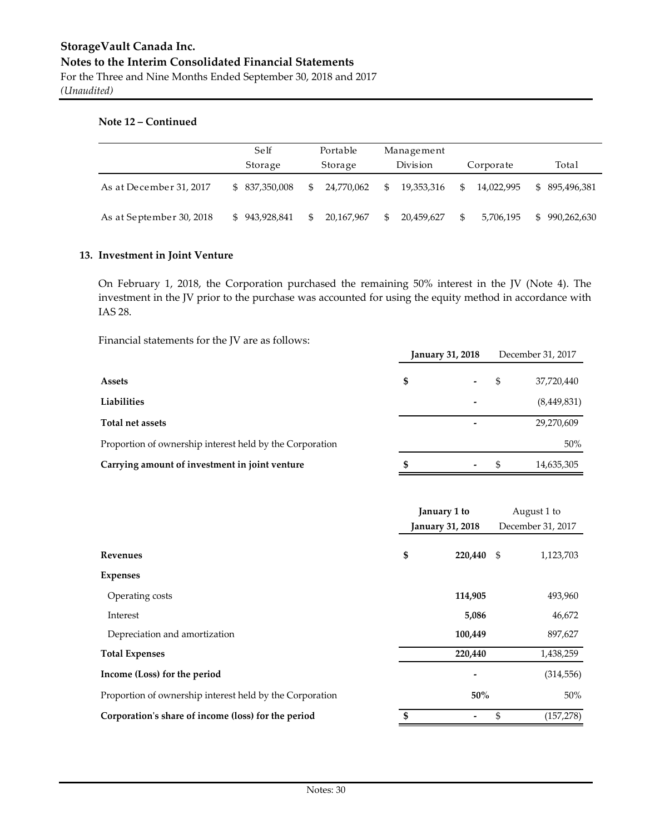#### **Note 12 – Continued**

|                          | Self<br>Storage | Portable<br>Storage | Management<br>Division | Corporate                  | Total              |
|--------------------------|-----------------|---------------------|------------------------|----------------------------|--------------------|
| As at December 31, 2017  | \$ 837,350,008  | \$<br>24.770.062    | 19,353,316<br>\$       | 14.022.995<br>$\mathbf{S}$ | \$ 895.496.381     |
| As at September 30, 2018 | \$943,928,841   | 20,167,967<br>\$    | 20,459,627<br>\$       | \$<br>5,706,195            | 990,262,630<br>SS. |

#### **13. Investment in Joint Venture**

On February 1, 2018, the Corporation purchased the remaining 50% interest in the JV (Note 4). The investment in the JV prior to the purchase was accounted for using the equity method in accordance with IAS 28.

Financial statements for the JV are as follows:

|                                                          | <b>January 31, 2018</b> |  | December 31, 2017 |             |
|----------------------------------------------------------|-------------------------|--|-------------------|-------------|
| <b>Assets</b>                                            | \$                      |  | \$                | 37,720,440  |
| Liabilities                                              |                         |  |                   | (8,449,831) |
| <b>Total net assets</b>                                  |                         |  |                   | 29,270,609  |
| Proportion of ownership interest held by the Corporation |                         |  |                   | $50\%$      |
| Carrying amount of investment in joint venture           | \$                      |  | S                 | 14,635,305  |

|                                                          | January 1 to            |         |     | August 1 to       |  |  |
|----------------------------------------------------------|-------------------------|---------|-----|-------------------|--|--|
|                                                          | <b>January 31, 2018</b> |         |     | December 31, 2017 |  |  |
| <b>Revenues</b>                                          | \$                      | 220,440 | -\$ | 1,123,703         |  |  |
| <b>Expenses</b>                                          |                         |         |     |                   |  |  |
| Operating costs                                          |                         | 114,905 |     | 493,960           |  |  |
| Interest                                                 |                         | 5,086   |     | 46,672            |  |  |
| Depreciation and amortization                            |                         | 100,449 |     | 897,627           |  |  |
| <b>Total Expenses</b>                                    |                         | 220,440 |     | 1,438,259         |  |  |
| Income (Loss) for the period                             |                         | -       |     | (314, 556)        |  |  |
| Proportion of ownership interest held by the Corporation |                         | 50%     |     | 50%               |  |  |
| Corporation's share of income (loss) for the period      | \$                      |         | \$  | (157, 278)        |  |  |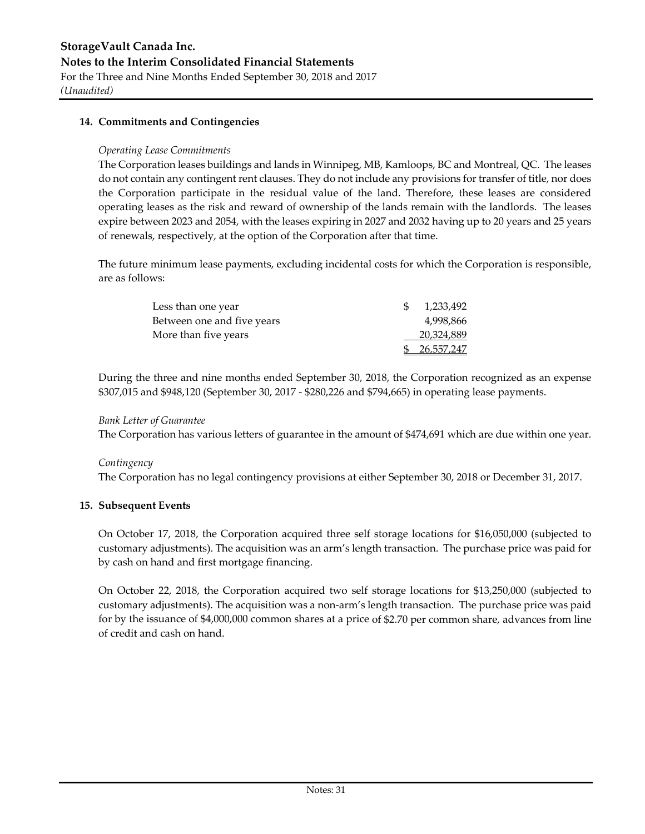#### **StorageVault Canada Inc. Notes to the Interim Consolidated Financial Statements** For the Three and Nine Months Ended September 30, 2018 and 2017

*(Unaudited)*

#### **14. Commitments and Contingencies**

#### *Operating Lease Commitments*

The Corporation leases buildings and lands in Winnipeg, MB, Kamloops, BC and Montreal, QC. The leases do not contain any contingent rent clauses. They do not include any provisions for transfer of title, nor does the Corporation participate in the residual value of the land. Therefore, these leases are considered operating leases as the risk and reward of ownership of the lands remain with the landlords. The leases expire between 2023 and 2054, with the leases expiring in 2027 and 2032 having up to 20 years and 25 years of renewals, respectively, at the option of the Corporation after that time.

The future minimum lease payments, excluding incidental costs for which the Corporation is responsible, are as follows:

| Less than one year         | SS. | 1,233,492    |
|----------------------------|-----|--------------|
| Between one and five years |     | 4,998,866    |
| More than five years       |     | 20,324,889   |
|                            |     | \$26,557,247 |

During the three and nine months ended September 30, 2018, the Corporation recognized as an expense \$307,015 and \$948,120 (September 30, 2017 ‐ \$280,226 and \$794,665) in operating lease payments.

#### *Bank Letter of Guarantee*

The Corporation has various letters of guarantee in the amount of \$474,691 which are due within one year.

#### *Contingency*

The Corporation has no legal contingency provisions at either September 30, 2018 or December 31, 2017.

#### **15. Subsequent Events**

On October 17, 2018, the Corporation acquired three self storage locations for \$16,050,000 (subjected to customary adjustments). The acquisition was an arm's length transaction. The purchase price was paid for by cash on hand and first mortgage financing.

On October 22, 2018, the Corporation acquired two self storage locations for \$13,250,000 (subjected to customary adjustments). The acquisition was a non‐arm's length transaction. The purchase price was paid for by the issuance of \$4,000,000 common shares at a price of \$2.70 per common share, advances from line of credit and cash on hand.